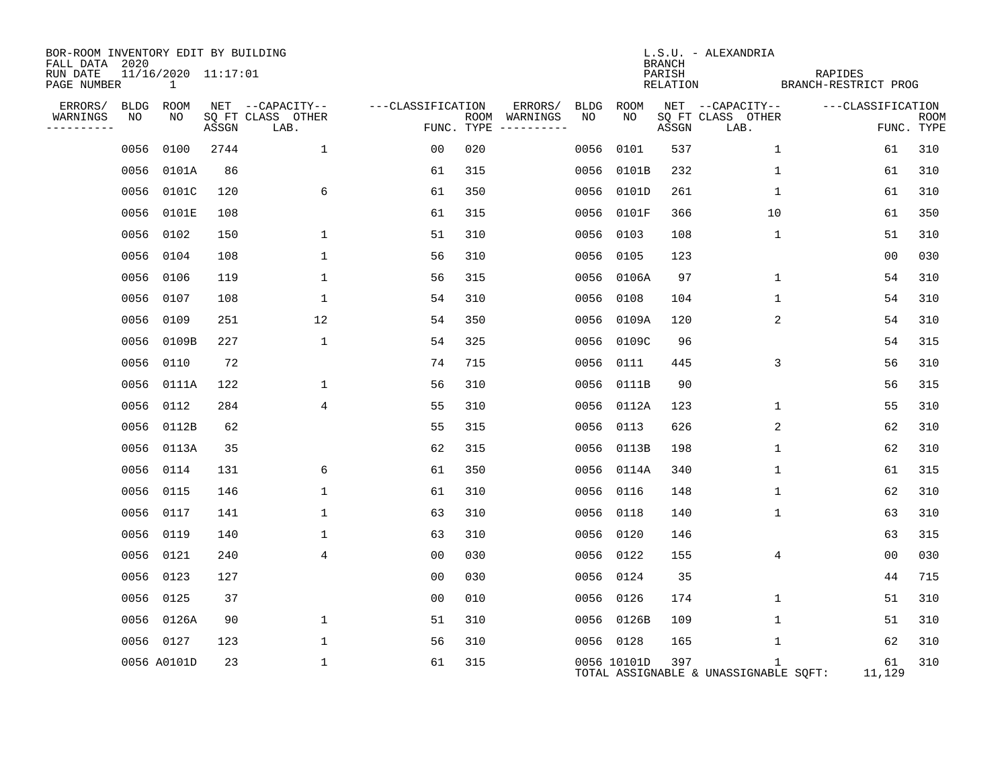| BOR-ROOM INVENTORY EDIT BY BUILDING<br>FALL DATA 2020 |      |                          |       |                           |                   |                                      |      |             | <b>BRANCH</b>      | L.S.U. - ALEXANDRIA                        |                                 |                |                           |
|-------------------------------------------------------|------|--------------------------|-------|---------------------------|-------------------|--------------------------------------|------|-------------|--------------------|--------------------------------------------|---------------------------------|----------------|---------------------------|
| RUN DATE<br>PAGE NUMBER                               |      | 11/16/2020 11:17:01<br>1 |       |                           |                   |                                      |      |             | PARISH<br>RELATION |                                            | RAPIDES<br>BRANCH-RESTRICT PROG |                |                           |
| ERRORS/                                               | BLDG | ROOM                     |       | NET --CAPACITY--          | ---CLASSIFICATION | ERRORS/                              | BLDG | ROOM        |                    | NET --CAPACITY--                           | ---CLASSIFICATION               |                |                           |
| WARNINGS<br>----------                                | NO   | NO                       | ASSGN | SQ FT CLASS OTHER<br>LAB. |                   | ROOM WARNINGS<br>FUNC. TYPE $------$ | NO   | NO          | ASSGN              | SQ FT CLASS OTHER<br>LAB.                  |                                 |                | <b>ROOM</b><br>FUNC. TYPE |
|                                                       | 0056 | 0100                     | 2744  | $\mathbf 1$               | 00                | 020                                  | 0056 | 0101        | 537                | 1                                          |                                 | 61             | 310                       |
|                                                       | 0056 | 0101A                    | 86    |                           | 61                | 315                                  | 0056 | 0101B       | 232                | $\mathbf 1$                                |                                 | 61             | 310                       |
|                                                       |      | 0056 0101C               | 120   | 6                         | 61                | 350                                  |      | 0056 0101D  | 261                | $\mathbf 1$                                |                                 | 61             | 310                       |
|                                                       | 0056 | 0101E                    | 108   |                           | 61                | 315                                  | 0056 | 0101F       | 366                | 10                                         |                                 | 61             | 350                       |
|                                                       |      | 0056 0102                | 150   | 1                         | 51                | 310                                  |      | 0056 0103   | 108                | $\mathbf 1$                                |                                 | 51             | 310                       |
|                                                       |      | 0056 0104                | 108   | $\mathbf 1$               | 56                | 310                                  |      | 0056 0105   | 123                |                                            |                                 | 0 <sub>0</sub> | 030                       |
|                                                       |      | 0056 0106                | 119   | $\mathbf{1}$              | 56                | 315                                  |      | 0056 0106A  | 97                 | 1                                          |                                 | 54             | 310                       |
|                                                       | 0056 | 0107                     | 108   | 1                         | 54                | 310                                  | 0056 | 0108        | 104                | 1                                          |                                 | 54             | 310                       |
|                                                       | 0056 | 0109                     | 251   | 12                        | 54                | 350                                  |      | 0056 0109A  | 120                | 2                                          |                                 | 54             | 310                       |
|                                                       | 0056 | 0109B                    | 227   | $\mathbf{1}$              | 54                | 325                                  |      | 0056 0109C  | 96                 |                                            |                                 | 54             | 315                       |
|                                                       | 0056 | 0110                     | 72    |                           | 74                | 715                                  | 0056 | 0111        | 445                | 3                                          |                                 | 56             | 310                       |
|                                                       | 0056 | 0111A                    | 122   | $\mathbf{1}$              | 56                | 310                                  | 0056 | 0111B       | 90                 |                                            |                                 | 56             | 315                       |
|                                                       | 0056 | 0112                     | 284   | 4                         | 55                | 310                                  |      | 0056 0112A  | 123                | 1                                          |                                 | 55             | 310                       |
|                                                       | 0056 | 0112B                    | 62    |                           | 55                | 315                                  | 0056 | 0113        | 626                | 2                                          |                                 | 62             | 310                       |
|                                                       |      | 0056 0113A               | 35    |                           | 62                | 315                                  | 0056 | 0113B       | 198                | 1                                          |                                 | 62             | 310                       |
|                                                       |      | 0056 0114                | 131   | 6                         | 61                | 350                                  |      | 0056 0114A  | 340                | 1                                          |                                 | 61             | 315                       |
|                                                       |      | 0056 0115                | 146   | $\mathbf{1}$              | 61                | 310                                  | 0056 | 0116        | 148                | $\mathbf 1$                                |                                 | 62             | 310                       |
|                                                       |      | 0056 0117                | 141   | 1                         | 63                | 310                                  |      | 0056 0118   | 140                | $\mathbf 1$                                |                                 | 63             | 310                       |
|                                                       | 0056 | 0119                     | 140   | $\mathbf{1}$              | 63                | 310                                  | 0056 | 0120        | 146                |                                            |                                 | 63             | 315                       |
|                                                       |      | 0056 0121                | 240   | 4                         | 0 <sub>0</sub>    | 030                                  |      | 0056 0122   | 155                | 4                                          |                                 | 00             | 030                       |
|                                                       |      | 0056 0123                | 127   |                           | 0 <sub>0</sub>    | 030                                  |      | 0056 0124   | 35                 |                                            |                                 | 44             | 715                       |
|                                                       |      | 0056 0125                | 37    |                           | 0 <sub>0</sub>    | 010                                  |      | 0056 0126   | 174                | 1                                          |                                 | 51             | 310                       |
|                                                       |      | 0056 0126A               | 90    | 1                         | 51                | 310                                  |      | 0056 0126B  | 109                | $\mathbf 1$                                |                                 | 51             | 310                       |
|                                                       |      | 0056 0127                | 123   | 1                         | 56                | 310                                  |      | 0056 0128   | 165                | 1                                          |                                 | 62             | 310                       |
|                                                       |      | 0056 A0101D              | 23    | $\mathbf{1}$              | 61                | 315                                  |      | 0056 10101D | 397                | 1<br>TOTAL ASSIGNABLE & UNASSIGNABLE SQFT: | 11,129                          | 61             | 310                       |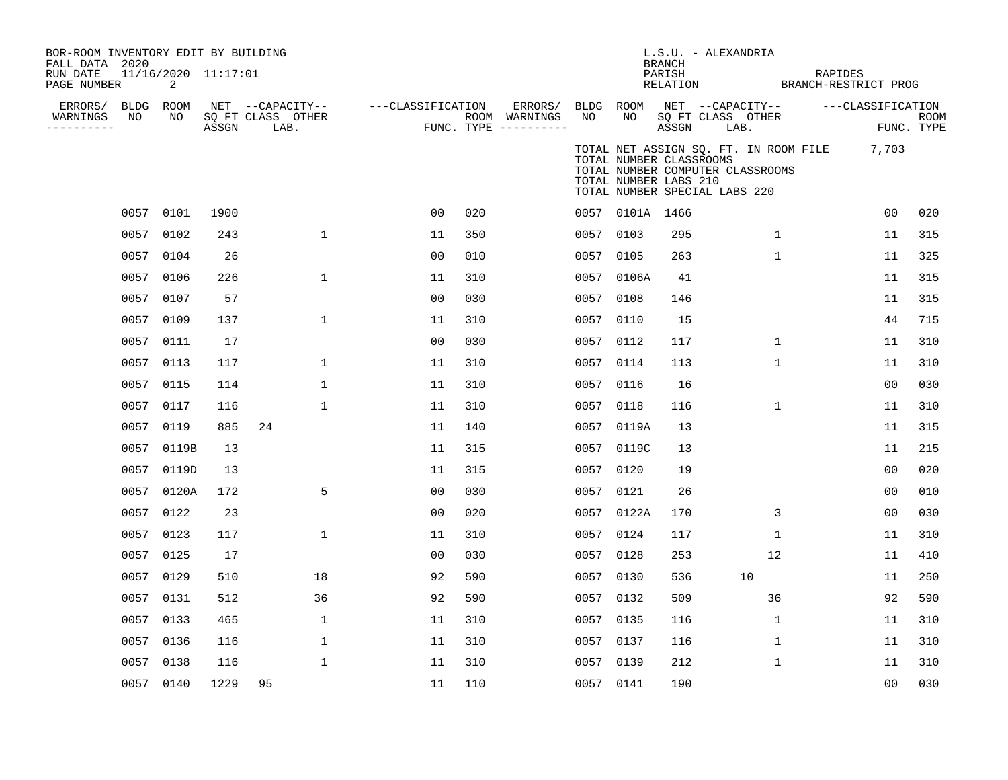| BOR-ROOM INVENTORY EDIT BY BUILDING<br>FALL DATA 2020<br>RUN DATE<br>PAGE NUMBER |                 | 11/16/2020 11:17:01<br>2 |       |                                               |                   |     |                                                 |                 |                                                                                                                       | <b>BRANCH</b><br>PARISH<br>RELATION | L.S.U. - ALEXANDRIA                           |              | RAPIDES<br>BRANCH-RESTRICT PROG             |                    |
|----------------------------------------------------------------------------------|-----------------|--------------------------|-------|-----------------------------------------------|-------------------|-----|-------------------------------------------------|-----------------|-----------------------------------------------------------------------------------------------------------------------|-------------------------------------|-----------------------------------------------|--------------|---------------------------------------------|--------------------|
| ERRORS/<br>WARNINGS<br>----------                                                | BLDG ROOM<br>NO | NO                       | ASSGN | NET --CAPACITY--<br>SQ FT CLASS OTHER<br>LAB. | ---CLASSIFICATION |     | ERRORS/<br>ROOM WARNINGS<br>FUNC. TYPE $------$ | BLDG ROOM<br>NO | NO                                                                                                                    | ASSGN                               | NET --CAPACITY--<br>SO FT CLASS OTHER<br>LAB. |              | ---CLASSIFICATION                           | ROOM<br>FUNC. TYPE |
|                                                                                  |                 |                          |       |                                               |                   |     |                                                 |                 | TOTAL NUMBER CLASSROOMS<br>TOTAL NUMBER COMPUTER CLASSROOMS<br>TOTAL NUMBER LABS 210<br>TOTAL NUMBER SPECIAL LABS 220 |                                     |                                               |              | TOTAL NET ASSIGN SQ. FT. IN ROOM FILE 7,703 |                    |
|                                                                                  | 0057 0101       |                          | 1900  |                                               | 0 <sub>0</sub>    | 020 |                                                 |                 | 0057 0101A 1466                                                                                                       |                                     |                                               |              | 00                                          | 020                |
|                                                                                  | 0057            | 0102                     | 243   | $\mathbf{1}$                                  | 11                | 350 |                                                 |                 | 0057 0103                                                                                                             | 295                                 |                                               | $\mathbf{1}$ | 11                                          | 315                |
|                                                                                  | 0057 0104       |                          | 26    |                                               | 0 <sub>0</sub>    | 010 |                                                 |                 | 0057 0105                                                                                                             | 263                                 |                                               | $\mathbf 1$  | 11                                          | 325                |
|                                                                                  | 0057            | 0106                     | 226   | $\mathbf{1}$                                  | 11                | 310 |                                                 |                 | 0057 0106A                                                                                                            | 41                                  |                                               |              | 11                                          | 315                |
|                                                                                  | 0057 0107       |                          | 57    |                                               | 0 <sub>0</sub>    | 030 |                                                 | 0057 0108       |                                                                                                                       | 146                                 |                                               |              | 11                                          | 315                |
|                                                                                  | 0057            | 0109                     | 137   | $\mathbf 1$                                   | 11                | 310 |                                                 | 0057            | 0110                                                                                                                  | 15                                  |                                               |              | 44                                          | 715                |
|                                                                                  | 0057 0111       |                          | 17    |                                               | 00                | 030 |                                                 |                 | 0057 0112                                                                                                             | 117                                 |                                               | 1            | 11                                          | 310                |
|                                                                                  | 0057            | 0113                     | 117   | 1                                             | 11                | 310 |                                                 | 0057            | 0114                                                                                                                  | 113                                 |                                               | 1            | 11                                          | 310                |
|                                                                                  | 0057 0115       |                          | 114   | 1                                             | 11                | 310 |                                                 | 0057            | 0116                                                                                                                  | 16                                  |                                               |              | 00                                          | 030                |
|                                                                                  | 0057            | 0117                     | 116   | 1                                             | 11                | 310 |                                                 | 0057            | 0118                                                                                                                  | 116                                 |                                               | 1            | 11                                          | 310                |
|                                                                                  | 0057            | 0119                     | 885   | 24                                            | 11                | 140 |                                                 | 0057            | 0119A                                                                                                                 | 13                                  |                                               |              | 11                                          | 315                |
|                                                                                  |                 | 0057 0119B               | 13    |                                               | 11                | 315 |                                                 |                 | 0057 0119C                                                                                                            | 13                                  |                                               |              | 11                                          | 215                |
|                                                                                  |                 | 0057 0119D               | 13    |                                               | 11                | 315 |                                                 | 0057            | 0120                                                                                                                  | 19                                  |                                               |              | 00                                          | 020                |
|                                                                                  |                 | 0057 0120A               | 172   | 5                                             | 0 <sub>0</sub>    | 030 |                                                 | 0057 0121       |                                                                                                                       | 26                                  |                                               |              | 0 <sub>0</sub>                              | 010                |
|                                                                                  | 0057 0122       |                          | 23    |                                               | 0 <sub>0</sub>    | 020 |                                                 | 0057            | 0122A                                                                                                                 | 170                                 |                                               | 3            | 0 <sub>0</sub>                              | 030                |
|                                                                                  | 0057 0123       |                          | 117   | $\mathbf{1}$                                  | 11                | 310 |                                                 | 0057 0124       |                                                                                                                       | 117                                 |                                               | $\mathbf 1$  | 11                                          | 310                |
|                                                                                  | 0057 0125       |                          | 17    |                                               | 00                | 030 |                                                 | 0057 0128       |                                                                                                                       | 253                                 |                                               | 12           | 11                                          | 410                |
|                                                                                  | 0057 0129       |                          | 510   | 18                                            | 92                | 590 |                                                 | 0057 0130       |                                                                                                                       | 536                                 |                                               | 10           | 11                                          | 250                |
|                                                                                  | 0057            | 0131                     | 512   | 36                                            | 92                | 590 |                                                 | 0057 0132       |                                                                                                                       | 509                                 |                                               | 36           | 92                                          | 590                |
|                                                                                  | 0057 0133       |                          | 465   | $\mathbf{1}$                                  | 11                | 310 |                                                 | 0057 0135       |                                                                                                                       | 116                                 |                                               | $\mathbf{1}$ | 11                                          | 310                |
|                                                                                  | 0057            | 0136                     | 116   | 1                                             | 11                | 310 |                                                 | 0057 0137       |                                                                                                                       | 116                                 |                                               | 1            | 11                                          | 310                |
|                                                                                  | 0057 0138       |                          | 116   | $\mathbf 1$                                   | 11                | 310 |                                                 | 0057 0139       |                                                                                                                       | 212                                 |                                               | $\mathbf 1$  | 11                                          | 310                |
|                                                                                  | 0057 0140       |                          | 1229  | 95                                            | 11                | 110 |                                                 | 0057 0141       |                                                                                                                       | 190                                 |                                               |              | 00                                          | 030                |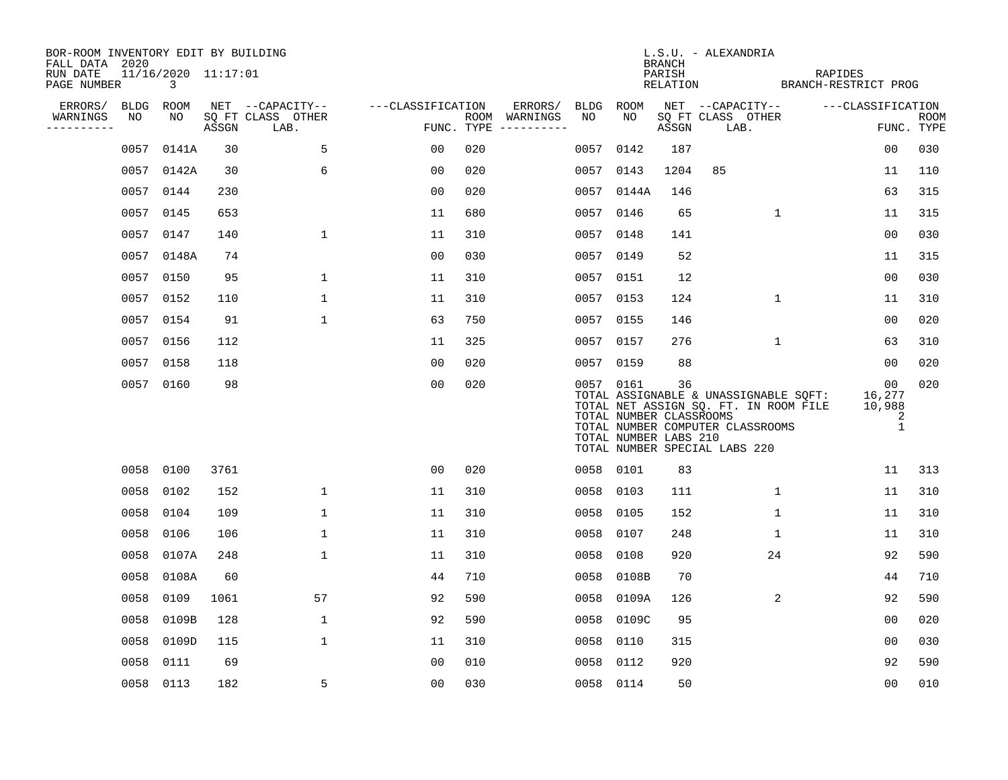| BOR-ROOM INVENTORY EDIT BY BUILDING<br>FALL DATA 2020 |           |                                       |       |                           |                   |     |                                      |           |                                                               | BRANCH | L.S.U. - ALEXANDRIA                                                                                                                                        |              |                                                |                           |
|-------------------------------------------------------|-----------|---------------------------------------|-------|---------------------------|-------------------|-----|--------------------------------------|-----------|---------------------------------------------------------------|--------|------------------------------------------------------------------------------------------------------------------------------------------------------------|--------------|------------------------------------------------|---------------------------|
| RUN DATE<br>PAGE NUMBER                               |           | 11/16/2020 11:17:01<br>$\overline{3}$ |       |                           |                   |     |                                      |           |                                                               | PARISH | RELATION BRANCH-RESTRICT PROG                                                                                                                              | RAPIDES      |                                                |                           |
| ERRORS/                                               | BLDG ROOM |                                       |       | NET --CAPACITY--          | ---CLASSIFICATION |     | ERRORS/                              | BLDG ROOM |                                                               |        | NET --CAPACITY--                                                                                                                                           |              | ---CLASSIFICATION                              |                           |
| WARNINGS<br>--------                                  | NO        | NO                                    | ASSGN | SQ FT CLASS OTHER<br>LAB. |                   |     | ROOM WARNINGS<br>FUNC. TYPE $------$ | NO        | NO                                                            | ASSGN  | SQ FT CLASS OTHER<br>LAB.                                                                                                                                  |              |                                                | <b>ROOM</b><br>FUNC. TYPE |
|                                                       |           | 0057 0141A                            | 30    | 5                         | 00                | 020 |                                      | 0057      | 0142                                                          | 187    |                                                                                                                                                            |              | 00                                             | 030                       |
|                                                       |           | 0057 0142A                            | 30    | 6                         | 0 <sub>0</sub>    | 020 |                                      | 0057      | 0143                                                          | 1204   | 85                                                                                                                                                         |              | 11                                             | 110                       |
|                                                       |           | 0057 0144                             | 230   |                           | 0 <sub>0</sub>    | 020 |                                      |           | 0057 0144A                                                    | 146    |                                                                                                                                                            |              | 63                                             | 315                       |
|                                                       |           | 0057 0145                             | 653   |                           | 11                | 680 |                                      |           | 0057 0146                                                     | 65     |                                                                                                                                                            | $\mathbf{1}$ | 11                                             | 315                       |
|                                                       |           | 0057 0147                             | 140   | $\mathbf 1$               | 11                | 310 |                                      |           | 0057 0148                                                     | 141    |                                                                                                                                                            |              | 0 <sub>0</sub>                                 | 030                       |
|                                                       |           | 0057 0148A                            | 74    |                           | 0 <sub>0</sub>    | 030 |                                      |           | 0057 0149                                                     | 52     |                                                                                                                                                            |              | 11                                             | 315                       |
|                                                       |           | 0057 0150                             | 95    | $\mathbf 1$               | 11                | 310 |                                      |           | 0057 0151                                                     | 12     |                                                                                                                                                            |              | 00                                             | 030                       |
|                                                       |           | 0057 0152                             | 110   | 1                         | 11                | 310 |                                      |           | 0057 0153                                                     | 124    |                                                                                                                                                            | $\mathbf{1}$ | 11                                             | 310                       |
|                                                       |           | 0057 0154                             | 91    | $\mathbf 1$               | 63                | 750 |                                      |           | 0057 0155                                                     | 146    |                                                                                                                                                            |              | 0 <sub>0</sub>                                 | 020                       |
|                                                       |           | 0057 0156                             | 112   |                           | 11                | 325 |                                      |           | 0057 0157                                                     | 276    |                                                                                                                                                            | $\mathbf{1}$ | 63                                             | 310                       |
|                                                       |           | 0057 0158                             | 118   |                           | 0 <sub>0</sub>    | 020 |                                      |           | 0057 0159                                                     | 88     |                                                                                                                                                            |              | 00                                             | 020                       |
|                                                       |           | 0057 0160                             | 98    |                           | 0 <sub>0</sub>    | 020 |                                      |           | 0057 0161<br>TOTAL NUMBER CLASSROOMS<br>TOTAL NUMBER LABS 210 | 36     | TOTAL ASSIGNABLE & UNASSIGNABLE SQFT: 16,277<br>TOTAL NET ASSIGN SQ. FT. IN ROOM FILE<br>TOTAL NUMBER COMPUTER CLASSROOMS<br>TOTAL NUMBER SPECIAL LABS 220 |              | 00 <sub>o</sub><br>10,988<br>2<br>$\mathbf{1}$ | 020                       |
|                                                       |           | 0058 0100                             | 3761  |                           | 0 <sub>0</sub>    | 020 |                                      |           | 0058 0101                                                     | 83     |                                                                                                                                                            |              | 11                                             | 313                       |
|                                                       | 0058      | 0102                                  | 152   | 1                         | 11                | 310 |                                      |           | 0058 0103                                                     | 111    | 1                                                                                                                                                          |              | 11                                             | 310                       |
|                                                       | 0058      | 0104                                  | 109   | $\mathbf 1$               | 11                | 310 |                                      | 0058      | 0105                                                          | 152    |                                                                                                                                                            | $\mathbf{1}$ | 11                                             | 310                       |
|                                                       |           | 0058 0106                             | 106   | $\mathbf{1}$              | 11                | 310 |                                      |           | 0058 0107                                                     | 248    | $\mathbf{1}$                                                                                                                                               |              | 11                                             | 310                       |
|                                                       |           | 0058 0107A                            | 248   | 1                         | 11                | 310 |                                      | 0058      | 0108                                                          | 920    | 24                                                                                                                                                         |              | 92                                             | 590                       |
|                                                       | 0058      | 0108A                                 | 60    |                           | 44                | 710 |                                      | 0058      | 0108B                                                         | 70     |                                                                                                                                                            |              | 44                                             | 710                       |
|                                                       | 0058      | 0109                                  | 1061  | 57                        | 92                | 590 |                                      |           | 0058 0109A                                                    | 126    |                                                                                                                                                            | 2            | 92                                             | 590                       |
|                                                       | 0058      | 0109B                                 | 128   | $\mathbf 1$               | 92                | 590 |                                      |           | 0058 0109C                                                    | 95     |                                                                                                                                                            |              | 00                                             | 020                       |
|                                                       | 0058      | 0109D                                 | 115   | $\mathbf 1$               | 11                | 310 |                                      | 0058      | 0110                                                          | 315    |                                                                                                                                                            |              | 0 <sub>0</sub>                                 | 030                       |
|                                                       | 0058      | 0111                                  | 69    |                           | 0 <sub>0</sub>    | 010 |                                      |           | 0058 0112                                                     | 920    |                                                                                                                                                            |              | 92                                             | 590                       |
|                                                       |           | 0058 0113                             | 182   | 5                         | 0 <sub>0</sub>    | 030 |                                      |           | 0058 0114                                                     | 50     |                                                                                                                                                            |              | 0 <sub>0</sub>                                 | 010                       |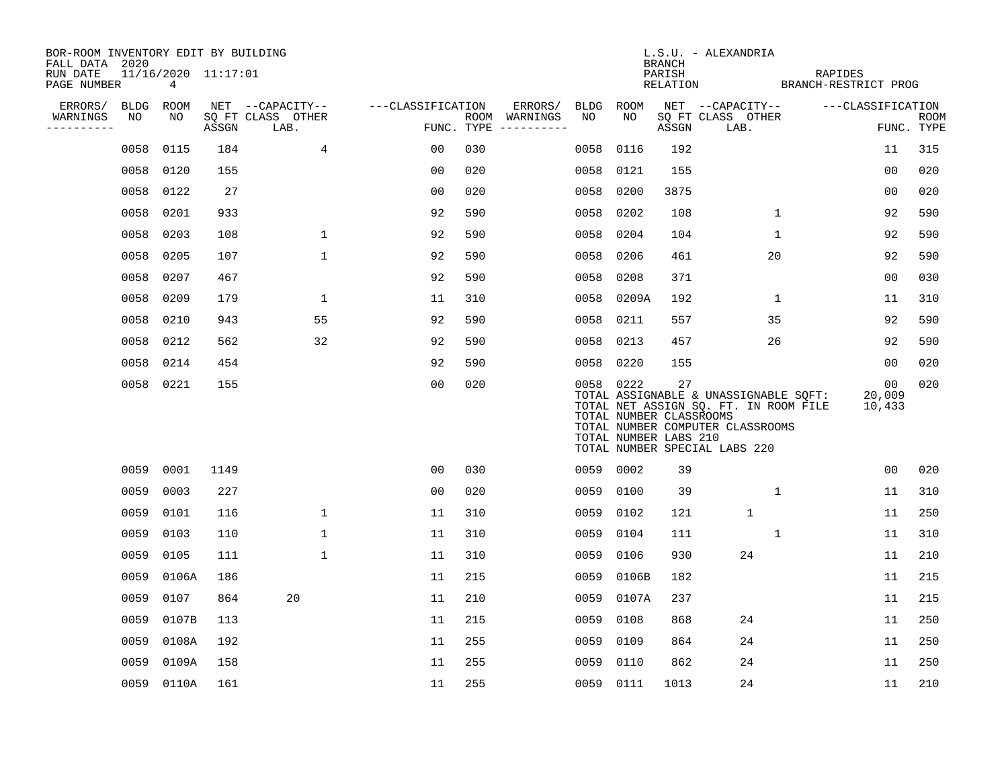| BOR-ROOM INVENTORY EDIT BY BUILDING       |                          |       |                           |                   |     |                                      |      |                                                               |                              | L.S.U. - ALEXANDRIA                                                                                                                                 |         |                        |                    |
|-------------------------------------------|--------------------------|-------|---------------------------|-------------------|-----|--------------------------------------|------|---------------------------------------------------------------|------------------------------|-----------------------------------------------------------------------------------------------------------------------------------------------------|---------|------------------------|--------------------|
| FALL DATA 2020<br>RUN DATE<br>PAGE NUMBER | 11/16/2020 11:17:01<br>4 |       |                           |                   |     |                                      |      |                                                               | BRANCH<br>PARISH<br>RELATION | BRANCH-RESTRICT PROG                                                                                                                                | RAPIDES |                        |                    |
| ERRORS/                                   | BLDG ROOM                |       | NET --CAPACITY--          | ---CLASSIFICATION |     | ERRORS/                              |      | BLDG ROOM                                                     |                              | NET --CAPACITY--                                                                                                                                    |         | ---CLASSIFICATION      |                    |
| WARNINGS<br>NO<br>----------              | NO                       | ASSGN | SQ FT CLASS OTHER<br>LAB. |                   |     | ROOM WARNINGS<br>FUNC. TYPE $------$ | NO   | NO                                                            | ASSGN                        | SQ FT CLASS OTHER<br>LAB.                                                                                                                           |         |                        | ROOM<br>FUNC. TYPE |
| 0058                                      | 0115                     | 184   | $\overline{4}$            | 00                | 030 |                                      | 0058 | 0116                                                          | 192                          |                                                                                                                                                     |         | 11                     | 315                |
| 0058                                      | 0120                     | 155   |                           | 0 <sub>0</sub>    | 020 |                                      | 0058 | 0121                                                          | 155                          |                                                                                                                                                     |         | 0 <sub>0</sub>         | 020                |
| 0058                                      | 0122                     | 27    |                           | 0 <sub>0</sub>    | 020 |                                      | 0058 | 0200                                                          | 3875                         |                                                                                                                                                     |         | 0 <sub>0</sub>         | 020                |
| 0058                                      | 0201                     | 933   |                           | 92                | 590 |                                      | 0058 | 0202                                                          | 108                          | $\mathbf{1}$                                                                                                                                        |         | 92                     | 590                |
| 0058                                      | 0203                     | 108   | 1                         | 92                | 590 |                                      | 0058 | 0204                                                          | 104                          | $\mathbf{1}$                                                                                                                                        |         | 92                     | 590                |
| 0058                                      | 0205                     | 107   | $\mathbf 1$               | 92                | 590 |                                      | 0058 | 0206                                                          | 461                          | 20                                                                                                                                                  |         | 92                     | 590                |
| 0058                                      | 0207                     | 467   |                           | 92                | 590 |                                      | 0058 | 0208                                                          | 371                          |                                                                                                                                                     |         | 00                     | 030                |
| 0058                                      | 0209                     | 179   | 1                         | 11                | 310 |                                      | 0058 | 0209A                                                         | 192                          | $\mathbf{1}$                                                                                                                                        |         | 11                     | 310                |
| 0058                                      | 0210                     | 943   | 55                        | 92                | 590 |                                      | 0058 | 0211                                                          | 557                          | 35                                                                                                                                                  |         | 92                     | 590                |
| 0058                                      | 0212                     | 562   | 32                        | 92                | 590 |                                      | 0058 | 0213                                                          | 457                          | 26                                                                                                                                                  |         | 92                     | 590                |
| 0058                                      | 0214                     | 454   |                           | 92                | 590 |                                      |      | 0058 0220                                                     | 155                          |                                                                                                                                                     |         | 00                     | 020                |
|                                           | 0058 0221                | 155   |                           | 0 <sub>0</sub>    | 020 |                                      |      | 0058 0222<br>TOTAL NUMBER CLASSROOMS<br>TOTAL NUMBER LABS 210 | 27                           | TOTAL ASSIGNABLE & UNASSIGNABLE SQFT:<br>TOTAL NET ASSIGN SQ. FT. IN ROOM FILE<br>TOTAL NUMBER COMPUTER CLASSROOMS<br>TOTAL NUMBER SPECIAL LABS 220 |         | 00<br>20,009<br>10,433 | 020                |
| 0059                                      | 0001                     | 1149  |                           | 0 <sub>0</sub>    | 030 |                                      |      | 0059 0002                                                     | 39                           |                                                                                                                                                     |         | 0 <sub>0</sub>         | 020                |
| 0059                                      | 0003                     | 227   |                           | 0 <sub>0</sub>    | 020 |                                      | 0059 | 0100                                                          | 39                           | $\mathbf 1$                                                                                                                                         |         | 11                     | 310                |
| 0059                                      | 0101                     | 116   | $\mathbf{1}$              | 11                | 310 |                                      | 0059 | 0102                                                          | 121                          | $\mathbf{1}$                                                                                                                                        |         | 11                     | 250                |
| 0059                                      | 0103                     | 110   | $\mathbf 1$               | 11                | 310 |                                      | 0059 | 0104                                                          | 111                          | $\mathbf{1}$                                                                                                                                        |         | 11                     | 310                |
| 0059                                      | 0105                     | 111   | $\mathbf 1$               | 11                | 310 |                                      | 0059 | 0106                                                          | 930                          | 24                                                                                                                                                  |         | 11                     | 210                |
| 0059                                      | 0106A                    | 186   |                           | 11                | 215 |                                      | 0059 | 0106B                                                         | 182                          |                                                                                                                                                     |         | 11                     | 215                |
| 0059                                      | 0107                     | 864   | 20                        | 11                | 210 |                                      | 0059 | 0107A                                                         | 237                          |                                                                                                                                                     |         | 11                     | 215                |
| 0059                                      | 0107B                    | 113   |                           | 11                | 215 |                                      | 0059 | 0108                                                          | 868                          | 24                                                                                                                                                  |         | 11                     | 250                |
| 0059                                      | 0108A                    | 192   |                           | 11                | 255 |                                      | 0059 | 0109                                                          | 864                          | 24                                                                                                                                                  |         | 11                     | 250                |
| 0059                                      | 0109A                    | 158   |                           | 11                | 255 |                                      | 0059 | 0110                                                          | 862                          | 24                                                                                                                                                  |         | 11                     | 250                |
|                                           | 0059 0110A               | 161   |                           | 11                | 255 |                                      |      | 0059 0111                                                     | 1013                         | 24                                                                                                                                                  |         | 11                     | 210                |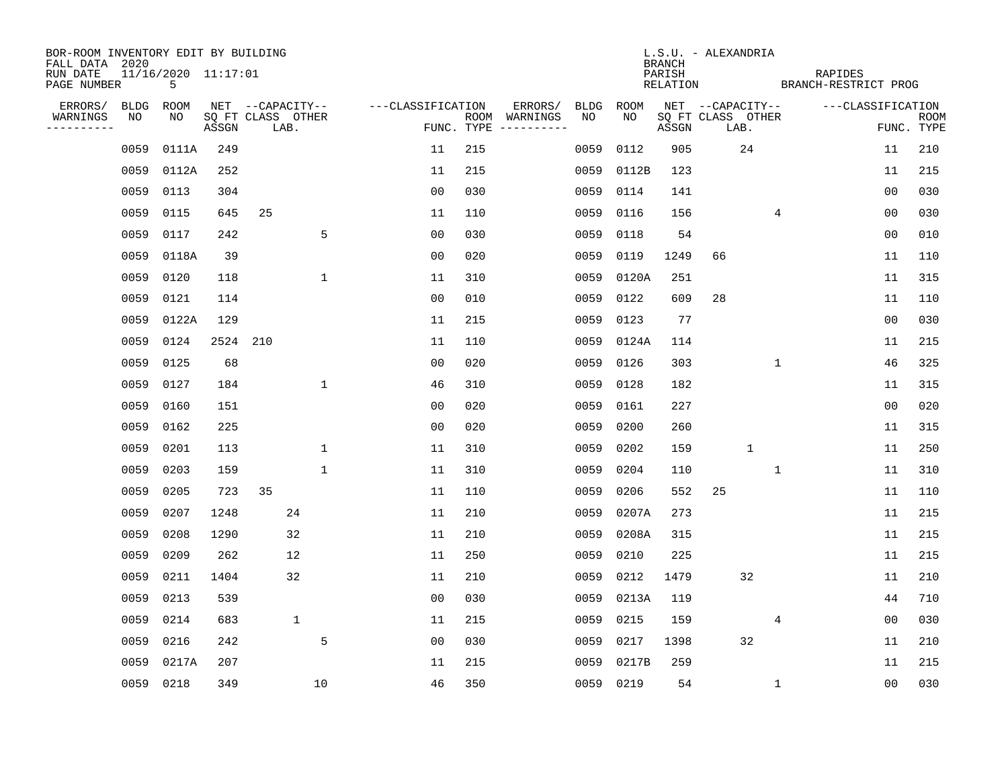| BOR-ROOM INVENTORY EDIT BY BUILDING       |           |                          |          |                           |              |                   |            |                              |             |             | <b>BRANCH</b>      | L.S.U. - ALEXANDRIA       |              |                                 |                   |                           |
|-------------------------------------------|-----------|--------------------------|----------|---------------------------|--------------|-------------------|------------|------------------------------|-------------|-------------|--------------------|---------------------------|--------------|---------------------------------|-------------------|---------------------------|
| FALL DATA 2020<br>RUN DATE<br>PAGE NUMBER |           | 11/16/2020 11:17:01<br>5 |          |                           |              |                   |            |                              |             |             | PARISH<br>RELATION |                           |              | RAPIDES<br>BRANCH-RESTRICT PROG |                   |                           |
| ERRORS/                                   | BLDG      | ROOM                     |          | NET --CAPACITY--          |              | ---CLASSIFICATION |            | ERRORS/                      | <b>BLDG</b> | <b>ROOM</b> |                    | NET --CAPACITY--          |              |                                 | ---CLASSIFICATION |                           |
| WARNINGS<br>----------                    | NO        | NO                       | ASSGN    | SQ FT CLASS OTHER<br>LAB. |              |                   | FUNC. TYPE | ROOM WARNINGS<br>----------- | NO          | NO          | ASSGN              | SQ FT CLASS OTHER<br>LAB. |              |                                 |                   | <b>ROOM</b><br>FUNC. TYPE |
|                                           | 0059      | 0111A                    | 249      |                           |              | 11                | 215        |                              | 0059        | 0112        | 905                |                           | 24           |                                 | 11                | 210                       |
|                                           | 0059      | 0112A                    | 252      |                           |              | 11                | 215        |                              | 0059        | 0112B       | 123                |                           |              |                                 | 11                | 215                       |
|                                           | 0059      | 0113                     | 304      |                           |              | 0 <sub>0</sub>    | 030        |                              | 0059        | 0114        | 141                |                           |              |                                 | 0 <sub>0</sub>    | 030                       |
|                                           | 0059      | 0115                     | 645      | 25                        |              | 11                | 110        |                              | 0059        | 0116        | 156                |                           |              | 4                               | 0 <sub>0</sub>    | 030                       |
|                                           | 0059      | 0117                     | 242      |                           | 5            | 0 <sub>0</sub>    | 030        |                              | 0059        | 0118        | 54                 |                           |              |                                 | 0 <sub>0</sub>    | 010                       |
|                                           | 0059      | 0118A                    | 39       |                           |              | 0 <sub>0</sub>    | 020        |                              | 0059        | 0119        | 1249               | 66                        |              |                                 | 11                | 110                       |
|                                           | 0059      | 0120                     | 118      |                           | $\mathbf 1$  | 11                | 310        |                              | 0059        | 0120A       | 251                |                           |              |                                 | 11                | 315                       |
|                                           | 0059      | 0121                     | 114      |                           |              | 0 <sub>0</sub>    | 010        |                              | 0059        | 0122        | 609                | 28                        |              |                                 | 11                | 110                       |
|                                           | 0059      | 0122A                    | 129      |                           |              | 11                | 215        |                              | 0059        | 0123        | 77                 |                           |              |                                 | 0 <sub>0</sub>    | 030                       |
|                                           | 0059      | 0124                     | 2524 210 |                           |              | 11                | 110        |                              | 0059        | 0124A       | 114                |                           |              |                                 | 11                | 215                       |
|                                           | 0059      | 0125                     | 68       |                           |              | 0 <sub>0</sub>    | 020        |                              | 0059        | 0126        | 303                |                           |              | $\mathbf 1$                     | 46                | 325                       |
|                                           | 0059      | 0127                     | 184      |                           | $\mathbf{1}$ | 46                | 310        |                              | 0059        | 0128        | 182                |                           |              |                                 | 11                | 315                       |
|                                           | 0059      | 0160                     | 151      |                           |              | 0 <sub>0</sub>    | 020        |                              | 0059        | 0161        | 227                |                           |              |                                 | 0 <sub>0</sub>    | 020                       |
|                                           | 0059      | 0162                     | 225      |                           |              | 0 <sub>0</sub>    | 020        |                              | 0059        | 0200        | 260                |                           |              |                                 | 11                | 315                       |
|                                           | 0059      | 0201                     | 113      |                           | $\mathbf 1$  | 11                | 310        |                              | 0059        | 0202        | 159                |                           | $\mathbf{1}$ |                                 | 11                | 250                       |
|                                           | 0059      | 0203                     | 159      |                           | $\mathbf 1$  | 11                | 310        |                              | 0059        | 0204        | 110                |                           |              | 1                               | 11                | 310                       |
|                                           | 0059      | 0205                     | 723      | 35                        |              | 11                | 110        |                              | 0059        | 0206        | 552                | 25                        |              |                                 | 11                | 110                       |
|                                           | 0059      | 0207                     | 1248     | 24                        |              | 11                | 210        |                              | 0059        | 0207A       | 273                |                           |              |                                 | 11                | 215                       |
|                                           | 0059      | 0208                     | 1290     | 32                        |              | 11                | 210        |                              | 0059        | 0208A       | 315                |                           |              |                                 | 11                | 215                       |
|                                           | 0059      | 0209                     | 262      | 12                        |              | 11                | 250        |                              | 0059        | 0210        | 225                |                           |              |                                 | 11                | 215                       |
|                                           | 0059      | 0211                     | 1404     | 32                        |              | 11                | 210        |                              | 0059        | 0212        | 1479               |                           | 32           |                                 | 11                | 210                       |
|                                           | 0059      | 0213                     | 539      |                           |              | 0 <sub>0</sub>    | 030        |                              | 0059        | 0213A       | 119                |                           |              |                                 | 44                | 710                       |
|                                           | 0059      | 0214                     | 683      | $\mathbf 1$               |              | 11                | 215        |                              | 0059        | 0215        | 159                |                           |              | 4                               | 0 <sub>0</sub>    | 030                       |
|                                           | 0059      | 0216                     | 242      |                           | 5            | 0 <sub>0</sub>    | 030        |                              | 0059        | 0217        | 1398               |                           | 32           |                                 | 11                | 210                       |
|                                           | 0059      | 0217A                    | 207      |                           |              | 11                | 215        |                              | 0059        | 0217B       | 259                |                           |              |                                 | 11                | 215                       |
|                                           | 0059 0218 |                          | 349      |                           | 10           | 46                | 350        |                              | 0059        | 0219        | 54                 |                           |              | 1                               | 00                | 030                       |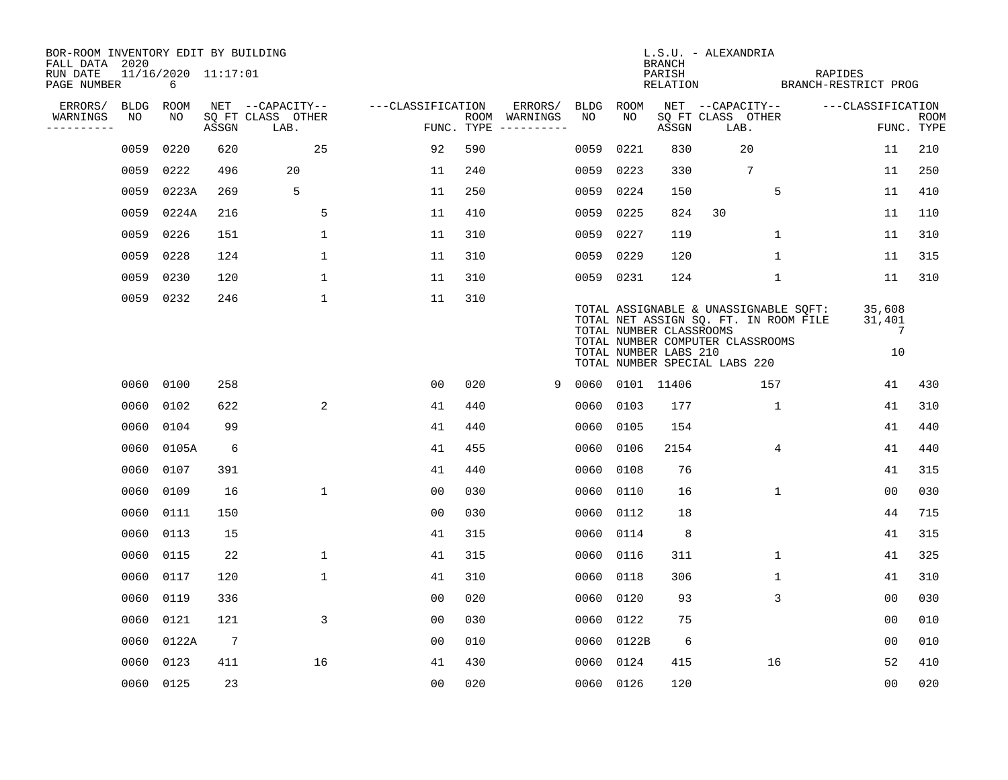| BOR-ROOM INVENTORY EDIT BY BUILDING       |      |                          |                |                           |                   |     |                                      |      |                 |                                                  | L.S.U. - ALEXANDRIA                                                                                                                                 |                                          |                           |
|-------------------------------------------|------|--------------------------|----------------|---------------------------|-------------------|-----|--------------------------------------|------|-----------------|--------------------------------------------------|-----------------------------------------------------------------------------------------------------------------------------------------------------|------------------------------------------|---------------------------|
| FALL DATA 2020<br>RUN DATE<br>PAGE NUMBER |      | 11/16/2020 11:17:01<br>6 |                |                           |                   |     |                                      |      |                 | <b>BRANCH</b><br>PARISH<br>RELATION              |                                                                                                                                                     | RAPIDES<br>BRANCH-RESTRICT PROG          |                           |
| ERRORS/                                   |      | BLDG ROOM                |                | NET --CAPACITY--          | ---CLASSIFICATION |     | ERRORS/                              | BLDG | ROOM            |                                                  | NET --CAPACITY--                                                                                                                                    | ---CLASSIFICATION                        |                           |
| WARNINGS<br>----------                    | NO   | NO                       | ASSGN          | SQ FT CLASS OTHER<br>LAB. |                   |     | ROOM WARNINGS<br>FUNC. TYPE $------$ | NO.  | NO.             | ASSGN                                            | SQ FT CLASS OTHER<br>LAB.                                                                                                                           |                                          | <b>ROOM</b><br>FUNC. TYPE |
|                                           | 0059 | 0220                     | 620            | 25                        | 92                | 590 |                                      | 0059 | 0221            | 830                                              | 20                                                                                                                                                  | 11                                       | 210                       |
|                                           | 0059 | 0222                     | 496            | 20                        | 11                | 240 |                                      | 0059 | 0223            | 330                                              | $7\phantom{.0}$                                                                                                                                     | 11                                       | 250                       |
|                                           | 0059 | 0223A                    | 269            | 5                         | 11                | 250 |                                      | 0059 | 0224            | 150                                              | 5                                                                                                                                                   | 11                                       | 410                       |
|                                           | 0059 | 0224A                    | 216            | 5                         | 11                | 410 |                                      | 0059 | 0225            | 824                                              | 30                                                                                                                                                  | 11                                       | 110                       |
|                                           | 0059 | 0226                     | 151            | $\mathbf{1}$              | 11                | 310 |                                      |      | 0059 0227       | 119                                              | $\mathbf{1}$                                                                                                                                        | 11                                       | 310                       |
|                                           | 0059 | 0228                     | 124            | $\mathbf{1}$              | 11                | 310 |                                      |      | 0059 0229       | 120                                              | $\mathbf{1}$                                                                                                                                        | 11                                       | 315                       |
|                                           | 0059 | 0230                     | 120            | $\mathbf 1$               | 11                | 310 |                                      |      | 0059 0231       | 124                                              | $\mathbf 1$                                                                                                                                         | 11                                       | 310                       |
|                                           |      | 0059 0232                | 246            | $\mathbf 1$               | 11                | 310 |                                      |      |                 | TOTAL NUMBER CLASSROOMS<br>TOTAL NUMBER LABS 210 | TOTAL ASSIGNABLE & UNASSIGNABLE SQFT:<br>TOTAL NET ASSIGN SQ. FT. IN ROOM FILE<br>TOTAL NUMBER COMPUTER CLASSROOMS<br>TOTAL NUMBER SPECIAL LABS 220 | 35,608<br>31,401<br>$\overline{7}$<br>10 |                           |
|                                           |      | 0060 0100                | 258            |                           | 0 <sub>0</sub>    | 020 | 9                                    |      | 0060 0101 11406 |                                                  | 157                                                                                                                                                 | 41                                       | 430                       |
|                                           | 0060 | 0102                     | 622            | 2                         | 41                | 440 |                                      | 0060 | 0103            | 177                                              | $\mathbf{1}$                                                                                                                                        | 41                                       | 310                       |
|                                           | 0060 | 0104                     | 99             |                           | 41                | 440 |                                      |      | 0060 0105       | 154                                              |                                                                                                                                                     | 41                                       | 440                       |
|                                           | 0060 | 0105A                    | 6              |                           | 41                | 455 |                                      | 0060 | 0106            | 2154                                             | 4                                                                                                                                                   | 41                                       | 440                       |
|                                           | 0060 | 0107                     | 391            |                           | 41                | 440 |                                      |      | 0060 0108       | 76                                               |                                                                                                                                                     | 41                                       | 315                       |
|                                           | 0060 | 0109                     | 16             | $\mathbf{1}$              | 0 <sub>0</sub>    | 030 |                                      | 0060 | 0110            | 16                                               | $\mathbf{1}$                                                                                                                                        | 0 <sub>0</sub>                           | 030                       |
|                                           | 0060 | 0111                     | 150            |                           | 00                | 030 |                                      | 0060 | 0112            | 18                                               |                                                                                                                                                     | 44                                       | 715                       |
|                                           | 0060 | 0113                     | 15             |                           | 41                | 315 |                                      | 0060 | 0114            | 8                                                |                                                                                                                                                     | 41                                       | 315                       |
|                                           | 0060 | 0115                     | 22             | $\mathbf 1$               | 41                | 315 |                                      | 0060 | 0116            | 311                                              | 1                                                                                                                                                   | 41                                       | 325                       |
|                                           | 0060 | 0117                     | 120            | $\mathbf{1}$              | 41                | 310 |                                      | 0060 | 0118            | 306                                              | $\mathbf 1$                                                                                                                                         | 41                                       | 310                       |
|                                           | 0060 | 0119                     | 336            |                           | 0 <sub>0</sub>    | 020 |                                      | 0060 | 0120            | 93                                               | 3                                                                                                                                                   | 00                                       | 030                       |
|                                           | 0060 | 0121                     | 121            | 3                         | 0 <sub>0</sub>    | 030 |                                      | 0060 | 0122            | 75                                               |                                                                                                                                                     | 00                                       | 010                       |
|                                           | 0060 | 0122A                    | $\overline{7}$ |                           | 0 <sub>0</sub>    | 010 |                                      |      | 0060 0122B      | 6                                                |                                                                                                                                                     | 00                                       | 010                       |
|                                           | 0060 | 0123                     | 411            | 16                        | 41                | 430 |                                      | 0060 | 0124            | 415                                              | 16                                                                                                                                                  | 52                                       | 410                       |
|                                           |      | 0060 0125                | 23             |                           | 0 <sub>0</sub>    | 020 |                                      |      | 0060 0126       | 120                                              |                                                                                                                                                     | 0 <sub>0</sub>                           | 020                       |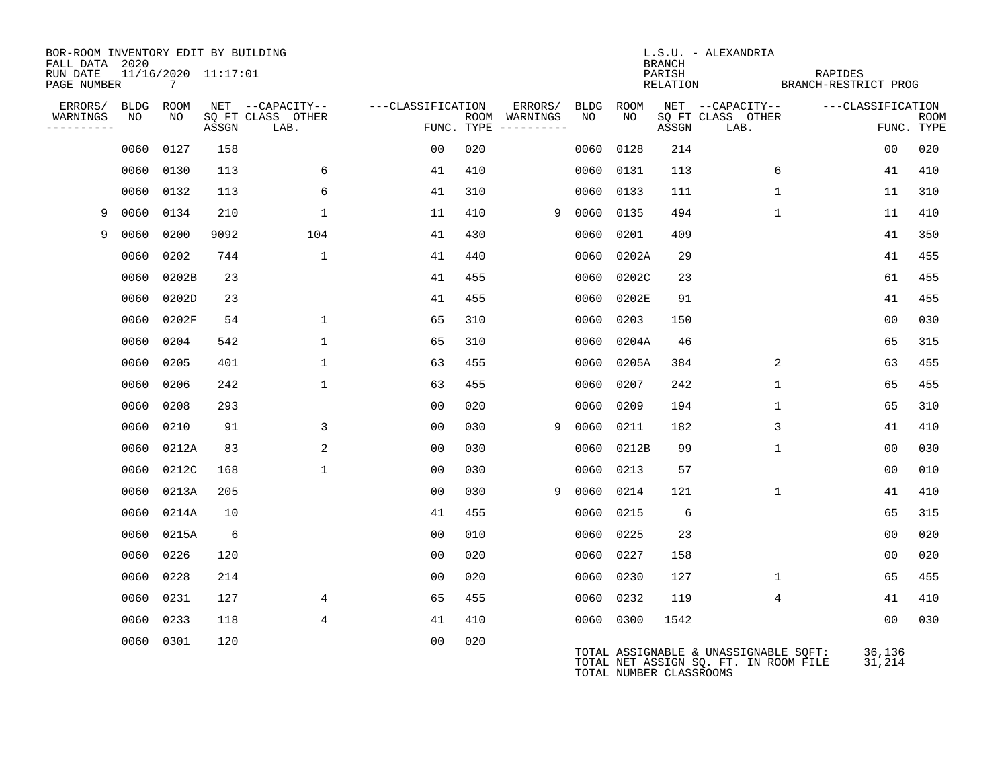| BOR-ROOM INVENTORY EDIT BY BUILDING<br>FALL DATA 2020 |           |                                        |       |                           |                   |     |                                      |      |                         | <b>BRANCH</b>      | L.S.U. - ALEXANDRIA                                                            |                                 |                   |             |
|-------------------------------------------------------|-----------|----------------------------------------|-------|---------------------------|-------------------|-----|--------------------------------------|------|-------------------------|--------------------|--------------------------------------------------------------------------------|---------------------------------|-------------------|-------------|
| RUN DATE<br>PAGE NUMBER                               |           | 11/16/2020 11:17:01<br>$7\overline{ }$ |       |                           |                   |     |                                      |      |                         | PARISH<br>RELATION |                                                                                | RAPIDES<br>BRANCH-RESTRICT PROG |                   |             |
| ERRORS/                                               | BLDG ROOM |                                        |       | NET --CAPACITY--          | ---CLASSIFICATION |     | ERRORS/                              | BLDG | ROOM                    |                    | NET --CAPACITY--                                                               |                                 | ---CLASSIFICATION |             |
| WARNINGS<br>----------                                | NO        | NO                                     | ASSGN | SQ FT CLASS OTHER<br>LAB. |                   |     | ROOM WARNINGS<br>FUNC. TYPE $------$ | NO   | NO.                     | ASSGN              | SQ FT CLASS OTHER<br>LAB.                                                      |                                 | FUNC. TYPE        | <b>ROOM</b> |
|                                                       | 0060      | 0127                                   | 158   |                           | 00                | 020 |                                      | 0060 | 0128                    | 214                |                                                                                |                                 | 0 <sub>0</sub>    | 020         |
|                                                       | 0060      | 0130                                   | 113   | 6                         | 41                | 410 |                                      | 0060 | 0131                    | 113                | 6                                                                              |                                 | 41                | 410         |
|                                                       | 0060      | 0132                                   | 113   | 6                         | 41                | 310 |                                      |      | 0060 0133               | 111                |                                                                                | $\mathbf 1$                     | 11                | 310         |
| 9                                                     | 0060      | 0134                                   | 210   | $\mathbf{1}$              | 11                | 410 | 9                                    | 0060 | 0135                    | 494                | $\mathbf{1}$                                                                   |                                 | 11                | 410         |
| 9                                                     | 0060      | 0200                                   | 9092  | 104                       | 41                | 430 |                                      | 0060 | 0201                    | 409                |                                                                                |                                 | 41                | 350         |
|                                                       | 0060      | 0202                                   | 744   | $\mathbf{1}$              | 41                | 440 |                                      |      | 0060 0202A              | 29                 |                                                                                |                                 | 41                | 455         |
|                                                       | 0060      | 0202B                                  | 23    |                           | 41                | 455 |                                      | 0060 | 0202C                   | 23                 |                                                                                |                                 | 61                | 455         |
|                                                       | 0060      | 0202D                                  | 23    |                           | 41                | 455 |                                      | 0060 | 0202E                   | 91                 |                                                                                |                                 | 41                | 455         |
|                                                       | 0060      | 0202F                                  | 54    | $\mathbf 1$               | 65                | 310 |                                      | 0060 | 0203                    | 150                |                                                                                |                                 | 00                | 030         |
|                                                       | 0060      | 0204                                   | 542   | $\mathbf{1}$              | 65                | 310 |                                      | 0060 | 0204A                   | 46                 |                                                                                |                                 | 65                | 315         |
|                                                       | 0060      | 0205                                   | 401   | $\mathbf{1}$              | 63                | 455 |                                      | 0060 | 0205A                   | 384                |                                                                                | 2                               | 63                | 455         |
|                                                       | 0060      | 0206                                   | 242   | $\mathbf{1}$              | 63                | 455 |                                      | 0060 | 0207                    | 242                | $\mathbf 1$                                                                    |                                 | 65                | 455         |
|                                                       | 0060      | 0208                                   | 293   |                           | 0 <sub>0</sub>    | 020 |                                      | 0060 | 0209                    | 194                | 1                                                                              |                                 | 65                | 310         |
|                                                       | 0060      | 0210                                   | 91    | 3                         | 0 <sub>0</sub>    | 030 | 9                                    | 0060 | 0211                    | 182                |                                                                                | 3                               | 41                | 410         |
|                                                       | 0060      | 0212A                                  | 83    | 2                         | 0 <sub>0</sub>    | 030 |                                      | 0060 | 0212B                   | 99                 | 1                                                                              |                                 | 00                | 030         |
|                                                       | 0060      | 0212C                                  | 168   | $\mathbf{1}$              | 00                | 030 |                                      | 0060 | 0213                    | 57                 |                                                                                |                                 | 00                | 010         |
|                                                       | 0060      | 0213A                                  | 205   |                           | 0 <sub>0</sub>    | 030 | 9                                    | 0060 | 0214                    | 121                | $\mathbf{1}$                                                                   |                                 | 41                | 410         |
|                                                       | 0060      | 0214A                                  | 10    |                           | 41                | 455 |                                      |      | 0060 0215               | 6                  |                                                                                |                                 | 65                | 315         |
|                                                       | 0060      | 0215A                                  | 6     |                           | 0 <sub>0</sub>    | 010 |                                      | 0060 | 0225                    | 23                 |                                                                                |                                 | 00                | 020         |
|                                                       | 0060      | 0226                                   | 120   |                           | 0 <sub>0</sub>    | 020 |                                      |      | 0060 0227               | 158                |                                                                                |                                 | 0 <sub>0</sub>    | 020         |
|                                                       | 0060      | 0228                                   | 214   |                           | 0 <sub>0</sub>    | 020 |                                      |      | 0060 0230               | 127                |                                                                                | $\mathbf 1$                     | 65                | 455         |
|                                                       | 0060      | 0231                                   | 127   | 4                         | 65                | 455 |                                      |      | 0060 0232               | 119                |                                                                                | 4                               | 41                | 410         |
|                                                       | 0060      | 0233                                   | 118   | 4                         | 41                | 410 |                                      |      | 0060 0300               | 1542               |                                                                                |                                 | 0 <sub>0</sub>    | 030         |
|                                                       |           | 0060 0301                              | 120   |                           | 0 <sub>0</sub>    | 020 |                                      |      | TOTAL NUMBER CLASSROOMS |                    | TOTAL ASSIGNABLE & UNASSIGNABLE SQFT:<br>TOTAL NET ASSIGN SQ. FT. IN ROOM FILE |                                 | 36,136<br>31,214  |             |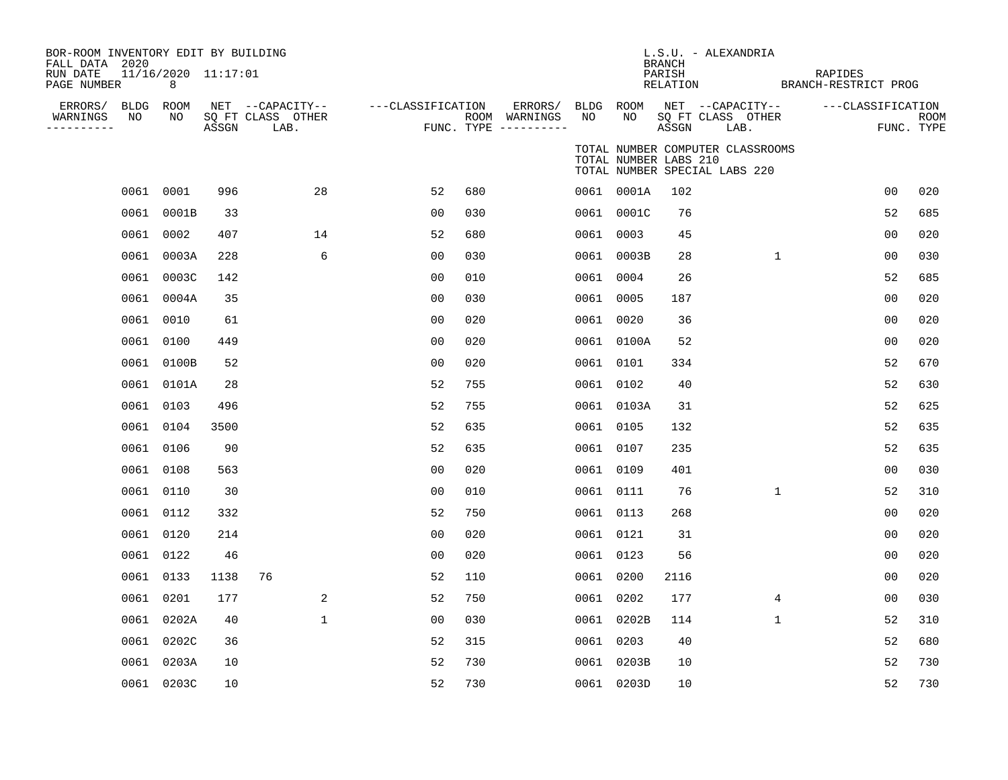| BOR-ROOM INVENTORY EDIT BY BUILDING<br>FALL DATA 2020<br>RUN DATE<br>PAGE NUMBER |           | 11/16/2020 11:17:01<br>8 |       |                                               |                   |     |                                      |           |                       | BRANCH<br>PARISH<br>RELATION | L.S.U. - ALEXANDRIA                                               | RAPIDES<br>BRANCH-RESTRICT PROG |                |             |
|----------------------------------------------------------------------------------|-----------|--------------------------|-------|-----------------------------------------------|-------------------|-----|--------------------------------------|-----------|-----------------------|------------------------------|-------------------------------------------------------------------|---------------------------------|----------------|-------------|
| ERRORS/ BLDG ROOM<br>WARNINGS<br>-----------                                     | NO        | NO                       | ASSGN | NET --CAPACITY--<br>SQ FT CLASS OTHER<br>LAB. | ---CLASSIFICATION |     | ROOM WARNINGS<br>FUNC. TYPE $------$ | NO        | NO                    | ASSGN                        | ERRORS/ BLDG ROOM NET --CAPACITY--<br>SQ FT CLASS OTHER<br>LAB.   | ---CLASSIFICATION               | FUNC. TYPE     | <b>ROOM</b> |
|                                                                                  |           |                          |       |                                               |                   |     |                                      |           | TOTAL NUMBER LABS 210 |                              | TOTAL NUMBER COMPUTER CLASSROOMS<br>TOTAL NUMBER SPECIAL LABS 220 |                                 |                |             |
|                                                                                  | 0061 0001 |                          | 996   | 28                                            | 52                | 680 |                                      |           | 0061 0001A            | 102                          |                                                                   |                                 | 0 <sub>0</sub> | 020         |
|                                                                                  |           | 0061 0001B               | 33    |                                               | 0 <sub>0</sub>    | 030 |                                      |           | 0061 0001C            | 76                           |                                                                   |                                 | 52             | 685         |
|                                                                                  | 0061 0002 |                          | 407   | 14                                            | 52                | 680 |                                      |           | 0061 0003             | 45                           |                                                                   |                                 | 0 <sub>0</sub> | 020         |
|                                                                                  |           | 0061 0003A               | 228   | 6                                             | 0 <sub>0</sub>    | 030 |                                      |           | 0061 0003B            | 28                           | $\mathbf{1}$                                                      |                                 | 0 <sub>0</sub> | 030         |
|                                                                                  |           | 0061 0003C               | 142   |                                               | 0 <sub>0</sub>    | 010 |                                      |           | 0061 0004             | 26                           |                                                                   |                                 | 52             | 685         |
|                                                                                  |           | 0061 0004A               | 35    |                                               | 0 <sub>0</sub>    | 030 |                                      |           | 0061 0005             | 187                          |                                                                   |                                 | 00             | 020         |
|                                                                                  | 0061 0010 |                          | 61    |                                               | 0 <sub>0</sub>    | 020 |                                      |           | 0061 0020             | 36                           |                                                                   |                                 | 0 <sub>0</sub> | 020         |
|                                                                                  | 0061 0100 |                          | 449   |                                               | 00                | 020 |                                      |           | 0061 0100A            | 52                           |                                                                   |                                 | 0 <sub>0</sub> | 020         |
|                                                                                  |           | 0061 0100B               | 52    |                                               | 0 <sub>0</sub>    | 020 |                                      |           | 0061 0101             | 334                          |                                                                   |                                 | 52             | 670         |
|                                                                                  |           | 0061 0101A               | 28    |                                               | 52                | 755 |                                      |           | 0061 0102             | 40                           |                                                                   |                                 | 52             | 630         |
|                                                                                  | 0061 0103 |                          | 496   |                                               | 52                | 755 |                                      |           | 0061 0103A            | 31                           |                                                                   |                                 | 52             | 625         |
|                                                                                  | 0061 0104 |                          | 3500  |                                               | 52                | 635 |                                      | 0061 0105 |                       | 132                          |                                                                   |                                 | 52             | 635         |
|                                                                                  | 0061 0106 |                          | 90    |                                               | 52                | 635 |                                      | 0061 0107 |                       | 235                          |                                                                   |                                 | 52             | 635         |
|                                                                                  | 0061 0108 |                          | 563   |                                               | 0 <sub>0</sub>    | 020 |                                      | 0061 0109 |                       | 401                          |                                                                   |                                 | 0 <sub>0</sub> | 030         |
|                                                                                  | 0061 0110 |                          | 30    |                                               | 0 <sub>0</sub>    | 010 |                                      |           | 0061 0111             | 76                           | $\mathbf{1}$                                                      |                                 | 52             | 310         |
|                                                                                  | 0061 0112 |                          | 332   |                                               | 52                | 750 |                                      |           | 0061 0113             | 268                          |                                                                   |                                 | 0 <sub>0</sub> | 020         |
|                                                                                  | 0061 0120 |                          | 214   |                                               | 0 <sub>0</sub>    | 020 |                                      |           | 0061 0121             | 31                           |                                                                   |                                 | 0 <sub>0</sub> | 020         |
|                                                                                  | 0061 0122 |                          | 46    |                                               | 0 <sub>0</sub>    | 020 |                                      |           | 0061 0123             | 56                           |                                                                   |                                 | 0 <sub>0</sub> | 020         |
|                                                                                  | 0061 0133 |                          | 1138  | 76                                            | 52                | 110 |                                      | 0061 0200 |                       | 2116                         |                                                                   |                                 | 00             | 020         |
|                                                                                  | 0061 0201 |                          | 177   | 2                                             | 52                | 750 |                                      |           | 0061 0202             | 177                          | 4                                                                 |                                 | 00             | 030         |
|                                                                                  |           | 0061 0202A               | 40    | $\mathbf{1}$                                  | 00                | 030 |                                      |           | 0061 0202B            | 114                          | $\mathbf{1}$                                                      |                                 | 52             | 310         |
|                                                                                  |           | 0061 0202C               | 36    |                                               | 52                | 315 |                                      | 0061 0203 |                       | 40                           |                                                                   |                                 | 52             | 680         |
|                                                                                  |           | 0061 0203A               | 10    |                                               | 52                | 730 |                                      |           | 0061 0203B            | 10                           |                                                                   |                                 | 52             | 730         |
|                                                                                  |           | 0061 0203C               | 10    |                                               | 52                | 730 |                                      |           | 0061 0203D            | 10                           |                                                                   |                                 | 52             | 730         |
|                                                                                  |           |                          |       |                                               |                   |     |                                      |           |                       |                              |                                                                   |                                 |                |             |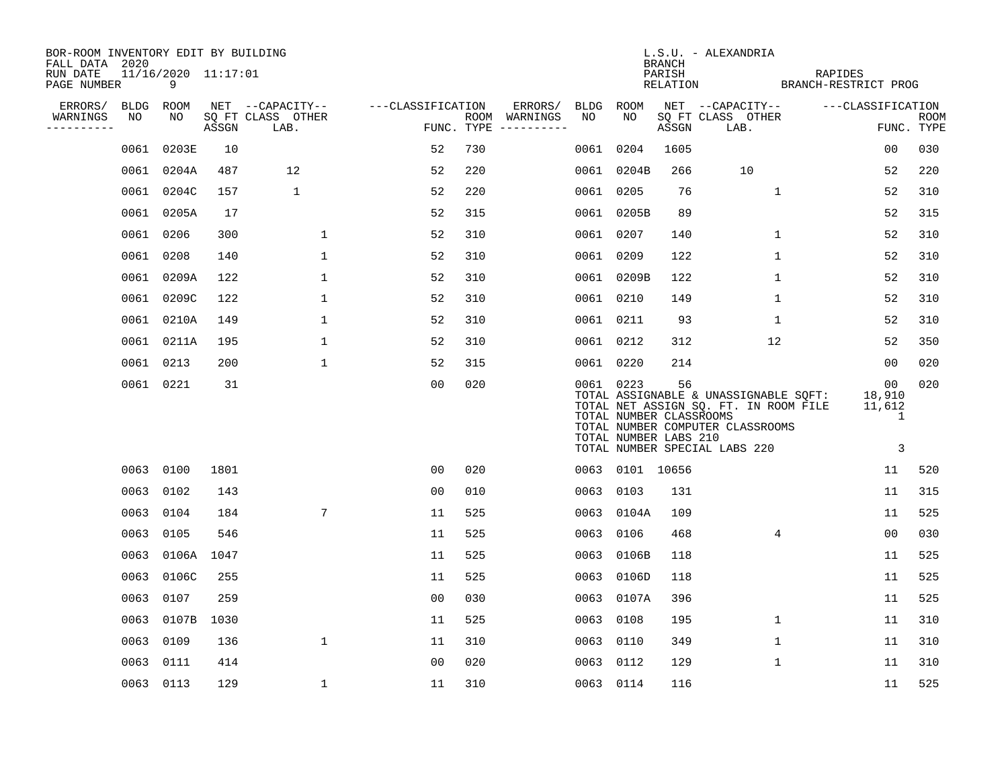| BOR-ROOM INVENTORY EDIT BY BUILDING       |             |                          |       |                           |                   |     |                                      |           |                                                               | BRANCH             | L.S.U. - ALEXANDRIA                                                                                                                                 |                                               |                           |
|-------------------------------------------|-------------|--------------------------|-------|---------------------------|-------------------|-----|--------------------------------------|-----------|---------------------------------------------------------------|--------------------|-----------------------------------------------------------------------------------------------------------------------------------------------------|-----------------------------------------------|---------------------------|
| FALL DATA 2020<br>RUN DATE<br>PAGE NUMBER |             | 11/16/2020 11:17:01<br>9 |       |                           |                   |     |                                      |           |                                                               | PARISH<br>RELATION | BRANCH-RESTRICT PROG                                                                                                                                | RAPIDES                                       |                           |
| ERRORS/                                   | <b>BLDG</b> | ROOM                     |       | NET --CAPACITY--          | ---CLASSIFICATION |     | ERRORS/                              | BLDG ROOM |                                                               |                    | NET --CAPACITY--                                                                                                                                    | ---CLASSIFICATION                             |                           |
| WARNINGS<br>----------                    | NO          | NO                       | ASSGN | SQ FT CLASS OTHER<br>LAB. |                   |     | ROOM WARNINGS<br>FUNC. TYPE $------$ | NO        | NO                                                            | ASSGN              | SQ FT CLASS OTHER<br>LAB.                                                                                                                           |                                               | <b>ROOM</b><br>FUNC. TYPE |
|                                           | 0061        | 0203E                    | 10    |                           | 52                | 730 |                                      | 0061      | 0204                                                          | 1605               |                                                                                                                                                     | 0 <sub>0</sub>                                | 030                       |
|                                           | 0061        | 0204A                    | 487   | 12                        | 52                | 220 |                                      |           | 0061 0204B                                                    | 266                | 10                                                                                                                                                  | 52                                            | 220                       |
|                                           |             | 0061 0204C               | 157   | 1                         | 52                | 220 |                                      |           | 0061 0205                                                     | 76                 | 1                                                                                                                                                   | 52                                            | 310                       |
|                                           |             | 0061 0205A               | 17    |                           | 52                | 315 |                                      |           | 0061 0205B                                                    | 89                 |                                                                                                                                                     | 52                                            | 315                       |
|                                           |             | 0061 0206                | 300   | $\mathbf 1$               | 52                | 310 |                                      |           | 0061 0207                                                     | 140                | $\mathbf 1$                                                                                                                                         | 52                                            | 310                       |
|                                           |             | 0061 0208                | 140   | $\mathbf{1}$              | 52                | 310 |                                      |           | 0061 0209                                                     | 122                | $\mathbf{1}$                                                                                                                                        | 52                                            | 310                       |
|                                           |             | 0061 0209A               | 122   | $\mathbf 1$               | 52                | 310 |                                      |           | 0061 0209B                                                    | 122                | $\mathbf{1}$                                                                                                                                        | 52                                            | 310                       |
|                                           | 0061        | 0209C                    | 122   | $\mathbf 1$               | 52                | 310 |                                      |           | 0061 0210                                                     | 149                | $\mathbf{1}$                                                                                                                                        | 52                                            | 310                       |
|                                           | 0061        | 0210A                    | 149   | $\mathbf 1$               | 52                | 310 |                                      |           | 0061 0211                                                     | 93                 | $\mathbf 1$                                                                                                                                         | 52                                            | 310                       |
|                                           |             | 0061 0211A               | 195   | 1                         | 52                | 310 |                                      |           | 0061 0212                                                     | 312                | 12                                                                                                                                                  | 52                                            | 350                       |
|                                           |             | 0061 0213                | 200   | $\mathbf 1$               | 52                | 315 |                                      |           | 0061 0220                                                     | 214                |                                                                                                                                                     | 00                                            | 020                       |
|                                           |             | 0061 0221                | 31    |                           | 0 <sub>0</sub>    | 020 |                                      |           | 0061 0223<br>TOTAL NUMBER CLASSROOMS<br>TOTAL NUMBER LABS 210 | 56                 | TOTAL ASSIGNABLE & UNASSIGNABLE SQFT:<br>TOTAL NET ASSIGN SQ. FT. IN ROOM FILE<br>TOTAL NUMBER COMPUTER CLASSROOMS<br>TOTAL NUMBER SPECIAL LABS 220 | 00 <sub>o</sub><br>18,910<br>11,612<br>1<br>3 | 020                       |
|                                           |             | 0063 0100                | 1801  |                           | 00                | 020 |                                      |           | 0063 0101 10656                                               |                    |                                                                                                                                                     | 11                                            | 520                       |
|                                           | 0063        | 0102                     | 143   |                           | 0 <sub>0</sub>    | 010 |                                      |           | 0063 0103                                                     | 131                |                                                                                                                                                     | 11                                            | 315                       |
|                                           | 0063        | 0104                     | 184   | 7                         | 11                | 525 |                                      |           | 0063 0104A                                                    | 109                |                                                                                                                                                     | 11                                            | 525                       |
|                                           | 0063        | 0105                     | 546   |                           | 11                | 525 |                                      |           | 0063 0106                                                     | 468                | 4                                                                                                                                                   | 00                                            | 030                       |
|                                           | 0063        | 0106A                    | 1047  |                           | 11                | 525 |                                      |           | 0063 0106B                                                    | 118                |                                                                                                                                                     | 11                                            | 525                       |
|                                           | 0063        | 0106C                    | 255   |                           | 11                | 525 |                                      |           | 0063 0106D                                                    | 118                |                                                                                                                                                     | 11                                            | 525                       |
|                                           | 0063        | 0107                     | 259   |                           | 00                | 030 |                                      |           | 0063 0107A                                                    | 396                |                                                                                                                                                     | 11                                            | 525                       |
|                                           | 0063        | 0107B                    | 1030  |                           | 11                | 525 |                                      | 0063 0108 |                                                               | 195                | $\mathbf{1}$                                                                                                                                        | 11                                            | 310                       |
|                                           | 0063        | 0109                     | 136   | $\mathbf{1}$              | 11                | 310 |                                      |           | 0063 0110                                                     | 349                | $\mathbf{1}$                                                                                                                                        | 11                                            | 310                       |
|                                           | 0063        | 0111                     | 414   |                           | 0 <sub>0</sub>    | 020 |                                      | 0063 0112 |                                                               | 129                | $\mathbf 1$                                                                                                                                         | 11                                            | 310                       |
|                                           |             | 0063 0113                | 129   | $\mathbf 1$               | 11                | 310 |                                      | 0063 0114 |                                                               | 116                |                                                                                                                                                     | 11                                            | 525                       |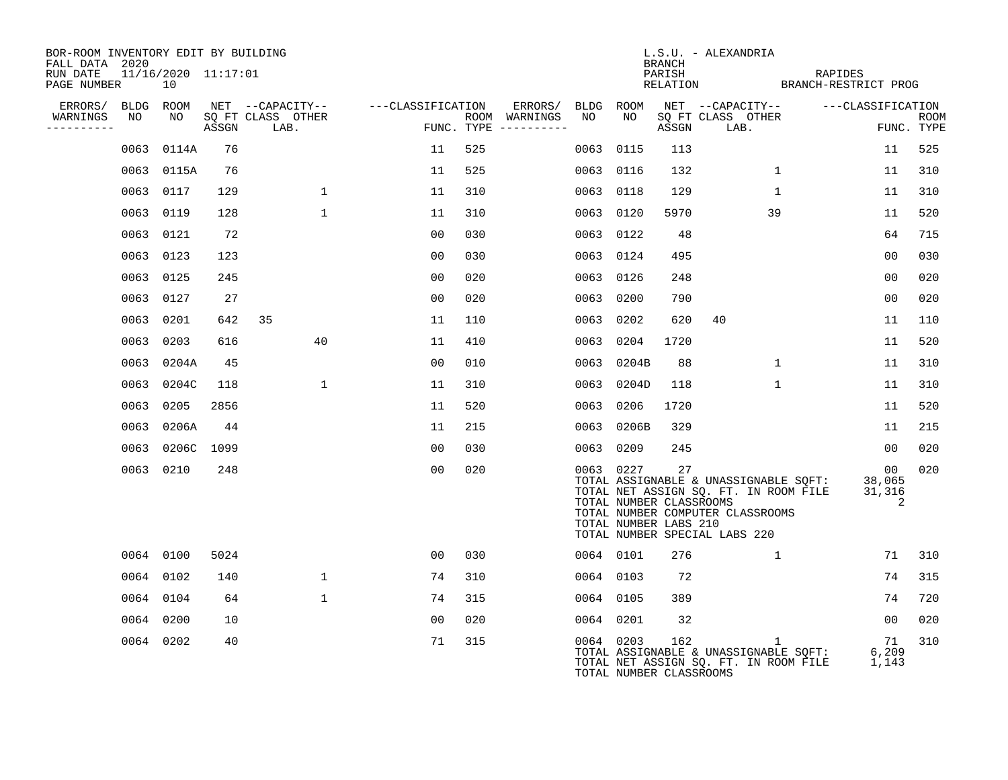| BOR-ROOM INVENTORY EDIT BY BUILDING<br>FALL DATA 2020 |                           |       |                           |                                        |     |                                      |           |                                                               | BRANCH | L.S.U. - ALEXANDRIA                                                                                                                                 |                   |                             |             |
|-------------------------------------------------------|---------------------------|-------|---------------------------|----------------------------------------|-----|--------------------------------------|-----------|---------------------------------------------------------------|--------|-----------------------------------------------------------------------------------------------------------------------------------------------------|-------------------|-----------------------------|-------------|
| RUN DATE<br>PAGE NUMBER                               | 11/16/2020 11:17:01<br>10 |       |                           |                                        |     |                                      |           |                                                               | PARISH | PARISH RELATION BRANCH-RESTRICT PROG                                                                                                                | RAPIDES           |                             |             |
| ERRORS/ BLDG ROOM                                     |                           |       |                           | NET --CAPACITY-- ---CLASSIFICATION     |     | ERRORS/ BLDG ROOM                    |           |                                                               |        | NET --CAPACITY--                                                                                                                                    | ---CLASSIFICATION |                             |             |
| WARNINGS<br>NO<br>-----------                         | NO                        | ASSGN | SO FT CLASS OTHER<br>LAB. | en al III-lea<br>Estatubat de la India |     | ROOM WARNINGS<br>FUNC. TYPE $------$ | NO        | NO                                                            | ASSGN  | SO FT CLASS OTHER<br>LAB.                                                                                                                           |                   | FUNC. TYPE                  | <b>ROOM</b> |
|                                                       | 0063 0114A                | 76    |                           | 11                                     | 525 |                                      | 0063 0115 |                                                               | 113    |                                                                                                                                                     |                   | 11                          | 525         |
|                                                       | 0063 0115A                | 76    |                           | 11                                     | 525 |                                      | 0063 0116 |                                                               | 132    | $\mathbf{1}$                                                                                                                                        |                   | 11                          | 310         |
|                                                       | 0063 0117                 | 129   | $\mathbf{1}$              | 11                                     | 310 |                                      | 0063 0118 |                                                               | 129    | $\mathbf{1}$                                                                                                                                        |                   | 11                          | 310         |
|                                                       | 0063 0119                 | 128   | $\mathbf{1}$              | 11                                     | 310 |                                      | 0063 0120 |                                                               | 5970   | 39                                                                                                                                                  |                   | 11                          | 520         |
|                                                       | 0063 0121                 | 72    |                           | 0 <sub>0</sub>                         | 030 |                                      | 0063 0122 |                                                               | 48     |                                                                                                                                                     |                   | 64                          | 715         |
|                                                       | 0063 0123                 | 123   |                           | 0 <sub>0</sub>                         | 030 |                                      | 0063 0124 |                                                               | 495    |                                                                                                                                                     |                   | 0 <sub>0</sub>              | 030         |
|                                                       | 0063 0125                 | 245   |                           | 0 <sub>0</sub>                         | 020 |                                      | 0063 0126 |                                                               | 248    |                                                                                                                                                     |                   | 0 <sub>0</sub>              | 020         |
|                                                       | 0063 0127                 | 27    |                           | 0 <sub>0</sub>                         | 020 |                                      | 0063      | 0200                                                          | 790    |                                                                                                                                                     |                   | 0 <sub>0</sub>              | 020         |
|                                                       | 0063 0201                 | 642   | 35                        | 11                                     | 110 |                                      | 0063      | 0202                                                          | 620    | 40                                                                                                                                                  |                   | 11                          | 110         |
|                                                       | 0063 0203                 | 616   | 40                        | 11                                     | 410 |                                      | 0063 0204 |                                                               | 1720   |                                                                                                                                                     |                   | 11                          | 520         |
|                                                       | 0063 0204A                | 45    |                           | 0 <sub>0</sub>                         | 010 |                                      |           | 0063 0204B                                                    | 88     | 1                                                                                                                                                   |                   | 11                          | 310         |
|                                                       | 0063 0204C                | 118   | $\mathbf{1}$              | 11                                     | 310 |                                      |           | 0063 0204D                                                    | 118    | $\mathbf{1}$                                                                                                                                        |                   | 11                          | 310         |
|                                                       | 0063 0205                 | 2856  |                           | 11                                     | 520 |                                      | 0063      | 0206                                                          | 1720   |                                                                                                                                                     |                   | 11                          | 520         |
|                                                       | 0063 0206A                | 44    |                           | 11                                     | 215 |                                      |           | 0063 0206B                                                    | 329    |                                                                                                                                                     |                   | 11                          | 215         |
|                                                       | 0063 0206C                | 1099  |                           | 00                                     | 030 |                                      | 0063 0209 |                                                               | 245    |                                                                                                                                                     |                   | $00 \,$                     | 020         |
|                                                       | 0063 0210                 | 248   |                           | 0 <sub>0</sub>                         | 020 |                                      |           | 0063 0227<br>TOTAL NUMBER CLASSROOMS<br>TOTAL NUMBER LABS 210 | 27     | TOTAL ASSIGNABLE & UNASSIGNABLE SOFT:<br>TOTAL NET ASSIGN SQ. FT. IN ROOM FILE<br>TOTAL NUMBER COMPUTER CLASSROOMS<br>TOTAL NUMBER SPECIAL LABS 220 |                   | 00<br>38,065<br>31,316<br>2 | 020         |
|                                                       | 0064 0100                 | 5024  |                           | 00                                     | 030 |                                      | 0064 0101 |                                                               | 276    | $\mathbf{1}$                                                                                                                                        |                   | 71                          | 310         |
|                                                       | 0064 0102                 | 140   | $\mathbf{1}$              | 74                                     | 310 |                                      | 0064 0103 |                                                               | 72     |                                                                                                                                                     |                   | 74                          | 315         |
|                                                       | 0064 0104                 | 64    | $\mathbf{1}$              | 74                                     | 315 |                                      | 0064 0105 |                                                               | 389    |                                                                                                                                                     |                   | 74                          | 720         |
|                                                       | 0064 0200                 | 10    |                           | 00                                     | 020 |                                      | 0064 0201 |                                                               | 32     |                                                                                                                                                     |                   | 00                          | 020         |
|                                                       | 0064 0202                 | 40    |                           | 71                                     | 315 |                                      | 0064 0203 | TOTAL NUMBER CLASSROOMS                                       | 162    | $\mathbf{1}$<br>TOTAL ASSIGNABLE & UNASSIGNABLE SOFT:<br>TOTAL NET ASSIGN SQ. FT. IN ROOM FILE                                                      |                   | 71<br>6,209<br>1,143        | 310         |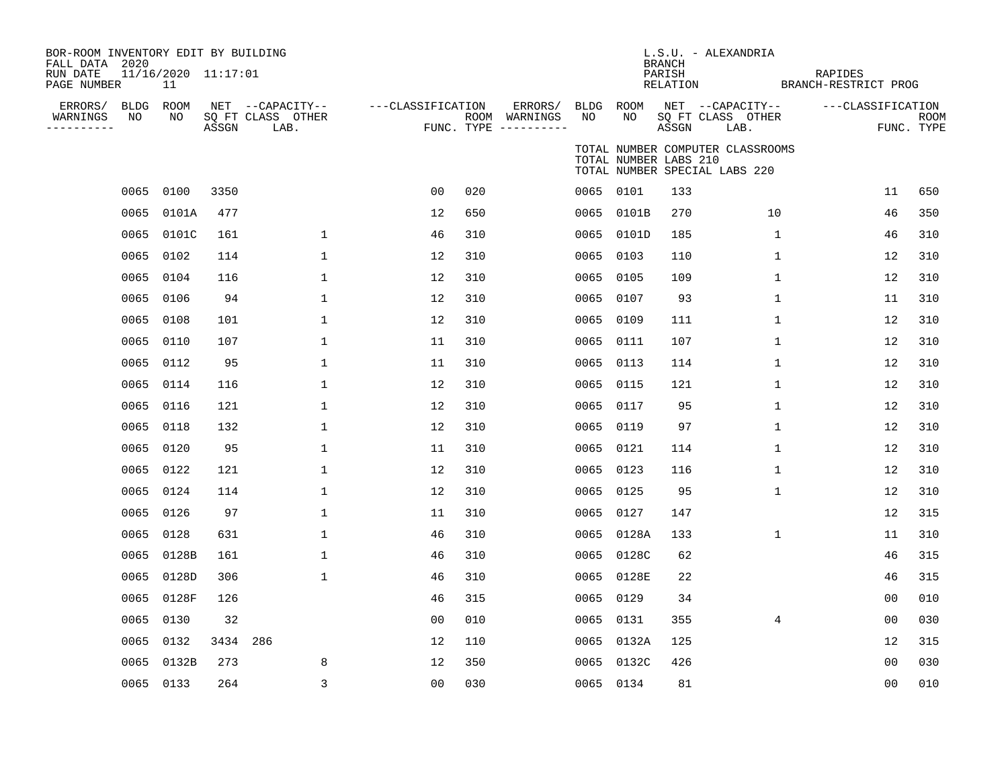| BOR-ROOM INVENTORY EDIT BY BUILDING<br>FALL DATA 2020<br>RUN DATE<br>PAGE NUMBER | 11/16/2020 11:17:01<br>11 |          |                                               |                   |     |                                                 |                 |                       | <b>BRANCH</b><br>PARISH<br>RELATION | L.S.U. - ALEXANDRIA                                               | RAPIDES<br>BRANCH-RESTRICT PROG |                |                           |
|----------------------------------------------------------------------------------|---------------------------|----------|-----------------------------------------------|-------------------|-----|-------------------------------------------------|-----------------|-----------------------|-------------------------------------|-------------------------------------------------------------------|---------------------------------|----------------|---------------------------|
| ERRORS/ BLDG ROOM<br>NO<br>WARNINGS<br>. <u>.</u> .                              | NO                        | ASSGN    | NET --CAPACITY--<br>SQ FT CLASS OTHER<br>LAB. | ---CLASSIFICATION |     | ERRORS/<br>ROOM WARNINGS<br>FUNC. TYPE $------$ | BLDG ROOM<br>NO | NO                    | ASSGN                               | NET --CAPACITY--<br>SQ FT CLASS OTHER<br>LAB.                     | ---CLASSIFICATION               |                | <b>ROOM</b><br>FUNC. TYPE |
|                                                                                  |                           |          |                                               |                   |     |                                                 |                 | TOTAL NUMBER LABS 210 |                                     | TOTAL NUMBER COMPUTER CLASSROOMS<br>TOTAL NUMBER SPECIAL LABS 220 |                                 |                |                           |
|                                                                                  | 0065 0100                 | 3350     |                                               | 0 <sub>0</sub>    | 020 |                                                 |                 | 0065 0101             | 133                                 |                                                                   |                                 | 11             | 650                       |
|                                                                                  | 0065 0101A                | 477      |                                               | 12                | 650 |                                                 |                 | 0065 0101B            | 270                                 | 10                                                                |                                 | 46             | 350                       |
|                                                                                  | 0065 0101C                | 161      | $\mathbf 1$                                   | 46                | 310 |                                                 | 0065            | 0101D                 | 185                                 | $\mathbf 1$                                                       |                                 | 46             | 310                       |
|                                                                                  | 0065 0102                 | 114      | $\mathbf 1$                                   | 12                | 310 |                                                 |                 | 0065 0103             | 110                                 | $\mathbf 1$                                                       |                                 | 12             | 310                       |
|                                                                                  | 0065 0104                 | 116      | $\mathbf 1$                                   | 12                | 310 |                                                 | 0065            | 0105                  | 109                                 | $\mathbf 1$                                                       |                                 | 12             | 310                       |
|                                                                                  | 0065 0106                 | 94       | $\mathbf{1}$                                  | 12                | 310 |                                                 | 0065            | 0107                  | 93                                  | $\mathbf 1$                                                       |                                 | 11             | 310                       |
| 0065                                                                             | 0108                      | 101      | $\mathbf{1}$                                  | 12                | 310 |                                                 | 0065            | 0109                  | 111                                 | $\mathbf{1}$                                                      |                                 | 12             | 310                       |
| 0065                                                                             | 0110                      | 107      | $\mathbf 1$                                   | 11                | 310 |                                                 | 0065            | 0111                  | 107                                 | 1                                                                 |                                 | 12             | 310                       |
|                                                                                  | 0065 0112                 | 95       | 1                                             | 11                | 310 |                                                 | 0065            | 0113                  | 114                                 | 1                                                                 |                                 | 12             | 310                       |
|                                                                                  | 0065 0114                 | 116      | $\mathbf{1}$                                  | 12                | 310 |                                                 | 0065            | 0115                  | 121                                 | 1                                                                 |                                 | 12             | 310                       |
|                                                                                  | 0065 0116                 | 121      | $\mathbf{1}$                                  | 12                | 310 |                                                 | 0065            | 0117                  | 95                                  | 1                                                                 |                                 | 12             | 310                       |
| 0065                                                                             | 0118                      | 132      | $\mathbf{1}$                                  | 12                | 310 |                                                 | 0065            | 0119                  | 97                                  | 1                                                                 |                                 | 12             | 310                       |
|                                                                                  | 0065 0120                 | 95       | 1                                             | 11                | 310 |                                                 |                 | 0065 0121             | 114                                 | 1                                                                 |                                 | 12             | 310                       |
|                                                                                  | 0065 0122                 | 121      | $\mathbf 1$                                   | 12                | 310 |                                                 | 0065            | 0123                  | 116                                 | $\mathbf 1$                                                       |                                 | 12             | 310                       |
|                                                                                  | 0065 0124                 | 114      | $\mathbf 1$                                   | 12                | 310 |                                                 |                 | 0065 0125             | 95                                  | 1                                                                 |                                 | 12             | 310                       |
|                                                                                  | 0065 0126                 | 97       | $\mathbf{1}$                                  | 11                | 310 |                                                 | 0065            | 0127                  | 147                                 |                                                                   |                                 | 12             | 315                       |
|                                                                                  | 0065 0128                 | 631      | $\mathbf{1}$                                  | 46                | 310 |                                                 |                 | 0065 0128A            | 133                                 | $\mathbf{1}$                                                      |                                 | 11             | 310                       |
|                                                                                  | 0065 0128B                | 161      | $\mathbf 1$                                   | 46                | 310 |                                                 |                 | 0065 0128C            | 62                                  |                                                                   |                                 | 46             | 315                       |
|                                                                                  | 0065 0128D                | 306      | $\mathbf{1}$                                  | 46                | 310 |                                                 | 0065            | 0128E                 | 22                                  |                                                                   |                                 | 46             | 315                       |
|                                                                                  | 0065 0128F                | 126      |                                               | 46                | 315 |                                                 | 0065            | 0129                  | 34                                  |                                                                   |                                 | 0 <sub>0</sub> | 010                       |
|                                                                                  | 0065 0130                 | 32       |                                               | 0 <sub>0</sub>    | 010 |                                                 | 0065            | 0131                  | 355                                 | $\overline{4}$                                                    |                                 | 00             | 030                       |
|                                                                                  | 0065 0132                 | 3434 286 |                                               | 12                | 110 |                                                 | 0065            | 0132A                 | 125                                 |                                                                   |                                 | 12             | 315                       |
| 0065                                                                             | 0132B                     | 273      | 8                                             | 12                | 350 |                                                 |                 | 0065 0132C            | 426                                 |                                                                   |                                 | 0 <sub>0</sub> | 030                       |
|                                                                                  | 0065 0133                 | 264      | 3                                             | 00                | 030 |                                                 |                 | 0065 0134             | 81                                  |                                                                   |                                 | 0 <sub>0</sub> | 010                       |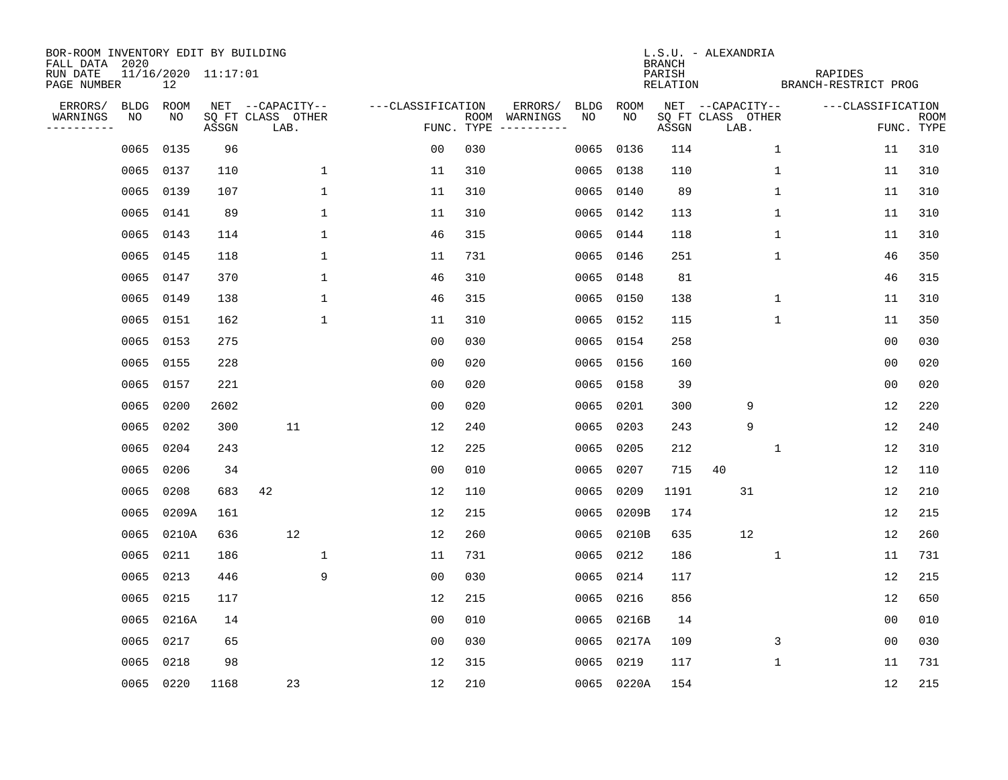| BOR-ROOM INVENTORY EDIT BY BUILDING       |             |                           |       |                           |                   |            |               |      |            | <b>BRANCH</b>      | L.S.U. - ALEXANDRIA       |                                 |                |                           |
|-------------------------------------------|-------------|---------------------------|-------|---------------------------|-------------------|------------|---------------|------|------------|--------------------|---------------------------|---------------------------------|----------------|---------------------------|
| FALL DATA 2020<br>RUN DATE<br>PAGE NUMBER |             | 11/16/2020 11:17:01<br>12 |       |                           |                   |            |               |      |            | PARISH<br>RELATION |                           | RAPIDES<br>BRANCH-RESTRICT PROG |                |                           |
| ERRORS/                                   | <b>BLDG</b> | ROOM                      |       | NET --CAPACITY--          | ---CLASSIFICATION |            | ERRORS/       | BLDG | ROOM       |                    | NET --CAPACITY--          | ---CLASSIFICATION               |                |                           |
| WARNINGS<br>----------                    | NO          | NO                        | ASSGN | SQ FT CLASS OTHER<br>LAB. |                   | FUNC. TYPE | ROOM WARNINGS | NO.  | NO.        | ASSGN              | SQ FT CLASS OTHER<br>LAB. |                                 |                | <b>ROOM</b><br>FUNC. TYPE |
|                                           | 0065        | 0135                      | 96    |                           | 0 <sub>0</sub>    | 030        |               | 0065 | 0136       | 114                | $\mathbf 1$               |                                 | 11             | 310                       |
|                                           | 0065        | 0137                      | 110   | $\mathbf 1$               | 11                | 310        |               | 0065 | 0138       | 110                | 1                         |                                 | 11             | 310                       |
|                                           | 0065        | 0139                      | 107   | $\mathbf{1}$              | 11                | 310        |               | 0065 | 0140       | 89                 | $\mathbf 1$               |                                 | 11             | 310                       |
|                                           | 0065 0141   |                           | 89    | $\mathbf{1}$              | 11                | 310        |               | 0065 | 0142       | 113                | 1                         |                                 | 11             | 310                       |
|                                           | 0065        | 0143                      | 114   | $\mathbf 1$               | 46                | 315        |               | 0065 | 0144       | 118                | 1                         |                                 | 11             | 310                       |
|                                           | 0065 0145   |                           | 118   | $\mathbf{1}$              | 11                | 731        |               |      | 0065 0146  | 251                | 1                         |                                 | 46             | 350                       |
|                                           | 0065 0147   |                           | 370   | $\mathbf{1}$              | 46                | 310        |               | 0065 | 0148       | 81                 |                           |                                 | 46             | 315                       |
|                                           | 0065        | 0149                      | 138   | $\mathbf 1$               | 46                | 315        |               |      | 0065 0150  | 138                | 1                         |                                 | 11             | 310                       |
|                                           | 0065        | 0151                      | 162   | $\mathbf{1}$              | 11                | 310        |               | 0065 | 0152       | 115                | $\mathbf{1}$              |                                 | 11             | 350                       |
|                                           | 0065 0153   |                           | 275   |                           | 0 <sub>0</sub>    | 030        |               | 0065 | 0154       | 258                |                           |                                 | 0 <sub>0</sub> | 030                       |
|                                           | 0065 0155   |                           | 228   |                           | 0 <sub>0</sub>    | 020        |               | 0065 | 0156       | 160                |                           |                                 | 0 <sub>0</sub> | 020                       |
|                                           | 0065 0157   |                           | 221   |                           | 0 <sub>0</sub>    | 020        |               | 0065 | 0158       | 39                 |                           |                                 | 0 <sub>0</sub> | 020                       |
|                                           | 0065        | 0200                      | 2602  |                           | 0 <sub>0</sub>    | 020        |               | 0065 | 0201       | 300                | 9                         |                                 | 12             | 220                       |
|                                           | 0065        | 0202                      | 300   | 11                        | 12                | 240        |               | 0065 | 0203       | 243                | 9                         |                                 | 12             | 240                       |
|                                           | 0065        | 0204                      | 243   |                           | 12                | 225        |               | 0065 | 0205       | 212                | 1                         |                                 | 12             | 310                       |
|                                           | 0065        | 0206                      | 34    |                           | 0 <sub>0</sub>    | 010        |               | 0065 | 0207       | 715                | 40                        |                                 | 12             | 110                       |
|                                           | 0065        | 0208                      | 683   | 42                        | 12                | 110        |               | 0065 | 0209       | 1191               | 31                        |                                 | 12             | 210                       |
|                                           | 0065        | 0209A                     | 161   |                           | 12                | 215        |               | 0065 | 0209B      | 174                |                           |                                 | 12             | 215                       |
|                                           | 0065        | 0210A                     | 636   | 12                        | 12                | 260        |               | 0065 | 0210B      | 635                | 12                        |                                 | 12             | 260                       |
|                                           | 0065        | 0211                      | 186   | $\mathbf{1}$              | 11                | 731        |               | 0065 | 0212       | 186                | $\mathbf{1}$              |                                 | 11             | 731                       |
|                                           | 0065        | 0213                      | 446   | 9                         | 0 <sub>0</sub>    | 030        |               | 0065 | 0214       | 117                |                           |                                 | 12             | 215                       |
|                                           | 0065        | 0215                      | 117   |                           | 12                | 215        |               | 0065 | 0216       | 856                |                           |                                 | 12             | 650                       |
|                                           | 0065        | 0216A                     | 14    |                           | 0 <sub>0</sub>    | 010        |               | 0065 | 0216B      | 14                 |                           |                                 | 0 <sub>0</sub> | 010                       |
|                                           | 0065        | 0217                      | 65    |                           | 0 <sub>0</sub>    | 030        |               | 0065 | 0217A      | 109                | 3                         |                                 | 0 <sub>0</sub> | 030                       |
|                                           | 0065        | 0218                      | 98    |                           | 12                | 315        |               | 0065 | 0219       | 117                | 1                         |                                 | 11             | 731                       |
|                                           |             | 0065 0220                 | 1168  | 23                        | 12                | 210        |               |      | 0065 0220A | 154                |                           |                                 | 12             | 215                       |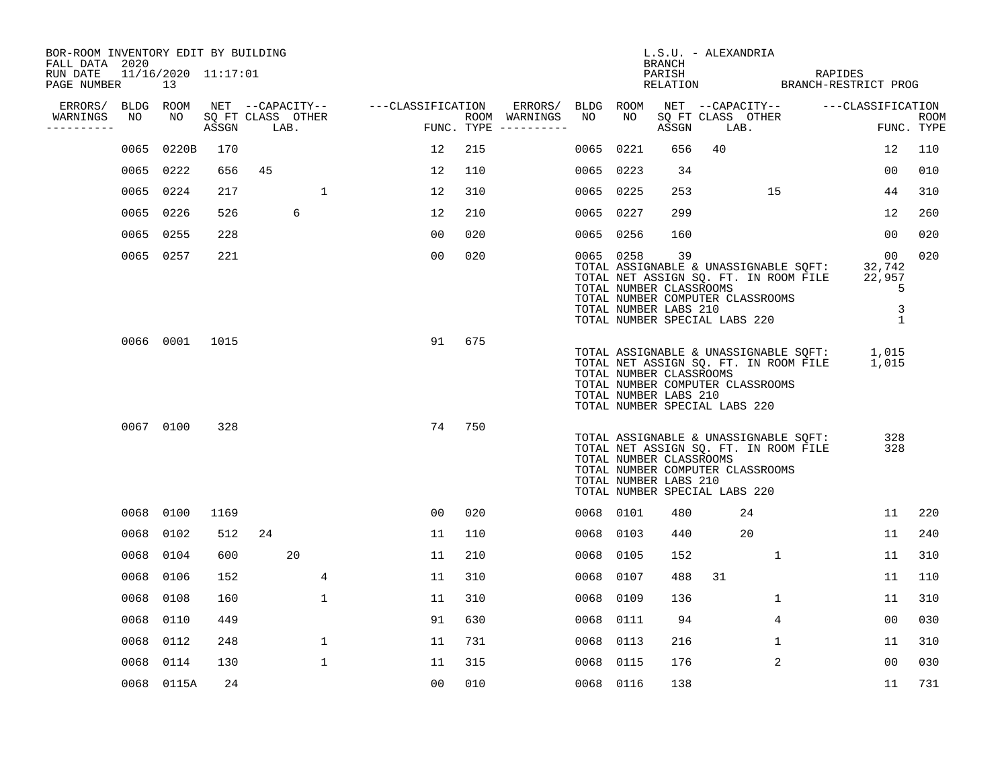| BOR-ROOM INVENTORY EDIT BY BUILDING<br>FALL DATA 2020 |      |                           |       |                           |                  |                   |                |     |                                      |           |           | <b>BRANCH</b>                                          | L.S.U. - ALEXANDRIA                                                                                                                                 |                |         |                                                  |                    |
|-------------------------------------------------------|------|---------------------------|-------|---------------------------|------------------|-------------------|----------------|-----|--------------------------------------|-----------|-----------|--------------------------------------------------------|-----------------------------------------------------------------------------------------------------------------------------------------------------|----------------|---------|--------------------------------------------------|--------------------|
| RUN DATE<br>PAGE NUMBER                               |      | 11/16/2020 11:17:01<br>13 |       |                           |                  |                   |                |     |                                      |           |           | PARISH                                                 | RELATION BRANCH-RESTRICT PROG                                                                                                                       |                | RAPIDES |                                                  |                    |
| ERRORS/                                               |      | BLDG ROOM                 |       |                           | NET --CAPACITY-- | ---CLASSIFICATION |                |     | ERRORS/                              | BLDG ROOM | NO        |                                                        | NET --CAPACITY-- ---CLASSIFICATION                                                                                                                  |                |         |                                                  |                    |
| WARNINGS<br>-----------                               | NO   | NO                        | ASSGN | SQ FT CLASS OTHER<br>LAB. |                  |                   |                |     | ROOM WARNINGS<br>FUNC. TYPE $------$ | NO        |           | ASSGN                                                  | SQ FT CLASS OTHER<br>LAB.                                                                                                                           |                |         |                                                  | ROOM<br>FUNC. TYPE |
|                                                       | 0065 | 0220B                     | 170   |                           |                  |                   | 12             | 215 |                                      | 0065      | 0221      | 656                                                    | 40                                                                                                                                                  |                |         | 12                                               | 110                |
|                                                       | 0065 | 0222                      | 656   | 45                        |                  |                   | 12             | 110 |                                      |           | 0065 0223 | 34                                                     |                                                                                                                                                     |                |         | 00                                               | 010                |
|                                                       | 0065 | 0224                      | 217   |                           | $\mathbf{1}$     |                   | 12             | 310 |                                      | 0065 0225 |           | 253                                                    |                                                                                                                                                     | 15             |         | 44                                               | 310                |
|                                                       | 0065 | 0226                      | 526   |                           | 6                |                   | 12             | 210 |                                      | 0065 0227 |           | 299                                                    |                                                                                                                                                     |                |         | 12                                               | 260                |
|                                                       | 0065 | 0255                      | 228   |                           |                  |                   | 00             | 020 |                                      | 0065 0256 |           | 160                                                    |                                                                                                                                                     |                |         | 00                                               | 020                |
|                                                       |      | 0065 0257                 | 221   |                           |                  |                   | 0 <sub>0</sub> | 020 |                                      | 0065 0258 |           | 39<br>TOTAL NUMBER CLASSROOMS<br>TOTAL NUMBER LABS 210 | TOTAL ASSIGNABLE & UNASSIGNABLE SQFT:<br>TOTAL NET ASSIGN SQ. FT. IN ROOM FILE<br>TOTAL NUMBER COMPUTER CLASSROOMS<br>TOTAL NUMBER SPECIAL LABS 220 |                |         | 00<br>32,742<br>22,957<br>5<br>3<br>$\mathbf{1}$ | 020                |
|                                                       |      | 0066 0001                 | 1015  |                           |                  |                   | 91             | 675 |                                      |           |           | TOTAL NUMBER CLASSROOMS<br>TOTAL NUMBER LABS 210       | TOTAL ASSIGNABLE & UNASSIGNABLE SQFT:<br>TOTAL NET ASSIGN SQ. FT. IN ROOM FILE<br>TOTAL NUMBER COMPUTER CLASSROOMS<br>TOTAL NUMBER SPECIAL LABS 220 |                |         | 1,015<br>1,015                                   |                    |
|                                                       |      | 0067 0100                 | 328   |                           |                  |                   | 74             | 750 |                                      |           |           | TOTAL NUMBER CLASSROOMS<br>TOTAL NUMBER LABS 210       | TOTAL ASSIGNABLE & UNASSIGNABLE SQFT:<br>TOTAL NET ASSIGN SQ. FT. IN ROOM FILE<br>TOTAL NUMBER COMPUTER CLASSROOMS<br>TOTAL NUMBER SPECIAL LABS 220 |                |         | 328<br>328                                       |                    |
|                                                       |      | 0068 0100                 | 1169  |                           |                  |                   | 00             | 020 |                                      |           | 0068 0101 | 480                                                    | 24                                                                                                                                                  |                |         | 11                                               | 220                |
|                                                       | 0068 | 0102                      | 512   | 24                        |                  |                   | 11             | 110 |                                      | 0068      | 0103      | 440                                                    | 20                                                                                                                                                  |                |         | 11                                               | 240                |
|                                                       | 0068 | 0104                      | 600   |                           | 20               |                   | 11             | 210 |                                      | 0068      | 0105      | 152                                                    |                                                                                                                                                     | 1              |         | 11                                               | 310                |
|                                                       | 0068 | 0106                      | 152   |                           | 4                |                   | 11             | 310 |                                      | 0068      | 0107      | 488                                                    | 31                                                                                                                                                  |                |         | 11                                               | 110                |
|                                                       | 0068 | 0108                      | 160   |                           | $\mathbf{1}$     |                   | 11             | 310 |                                      | 0068      | 0109      | 136                                                    |                                                                                                                                                     | $\mathbf{1}$   |         | 11                                               | 310                |
|                                                       | 0068 | 0110                      | 449   |                           |                  |                   | 91             | 630 |                                      | 0068      | 0111      | 94                                                     |                                                                                                                                                     | 4              |         | 00                                               | 030                |
|                                                       | 0068 | 0112                      | 248   |                           | 1                |                   | 11             | 731 |                                      | 0068      | 0113      | 216                                                    |                                                                                                                                                     | 1              |         | 11                                               | 310                |
|                                                       | 0068 | 0114                      | 130   |                           | $\mathbf{1}$     |                   | 11             | 315 |                                      | 0068      | 0115      | 176                                                    |                                                                                                                                                     | $\overline{2}$ |         | 00                                               | 030                |
|                                                       |      | 0068 0115A                | 24    |                           |                  |                   | 0 <sub>0</sub> | 010 |                                      | 0068 0116 |           | 138                                                    |                                                                                                                                                     |                |         | 11                                               | 731                |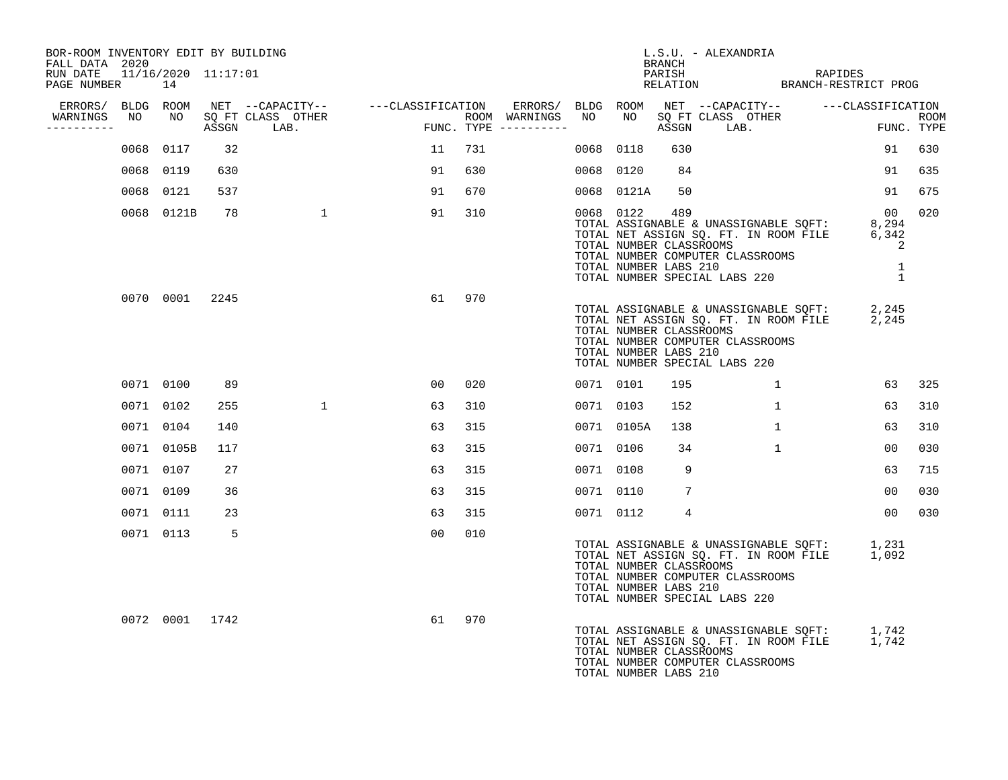| BOR-ROOM INVENTORY EDIT BY BUILDING<br>FALL DATA 2020 |                |     |                                                                                                                                                                                                                                        |    |     |           |            | BRANCH                                                  | L.S.U. - ALEXANDRIA                                                                                                                                             |                                       |             |
|-------------------------------------------------------|----------------|-----|----------------------------------------------------------------------------------------------------------------------------------------------------------------------------------------------------------------------------------------|----|-----|-----------|------------|---------------------------------------------------------|-----------------------------------------------------------------------------------------------------------------------------------------------------------------|---------------------------------------|-------------|
| RUN DATE 11/16/2020 11:17:01<br>PAGE NUMBER           | 14             |     |                                                                                                                                                                                                                                        |    |     |           |            |                                                         | PARISH RAPIDES<br>RELATION BRANCH-RESTRICT PROG                                                                                                                 |                                       |             |
| ERRORS/ BLDG ROOM                                     |                |     |                                                                                                                                                                                                                                        |    |     |           |            |                                                         |                                                                                                                                                                 |                                       |             |
| WARNINGS<br>NO<br>----------                          |                |     | NET --CAPACITY-- -----CLASSIFICATION ERRORS/BLDGROOM NET --CAPACITY-- -----CLASSIFICATION<br>SQFTCLASS OTHER ROOM WARNINGS NO NO SQFTCLASS OTHER ROOM<br>ASSGN LAB. FUNC.TYPE ----------- ASSGN LAB. FUNC.TYPE<br>NO SQ FT CLASS OTHER |    |     |           |            |                                                         | NO SQ FT CLASS OTHER THE ROOM ASSGN LAB. FUNC. TYPE                                                                                                             |                                       | <b>ROOM</b> |
|                                                       | 0068 0117      | 32  |                                                                                                                                                                                                                                        | 11 | 731 | 0068 0118 |            | 630                                                     |                                                                                                                                                                 | 91                                    | 630         |
|                                                       | 0068 0119      | 630 |                                                                                                                                                                                                                                        | 91 | 630 | 0068 0120 |            | 84                                                      |                                                                                                                                                                 | 91                                    | 635         |
|                                                       | 0068 0121      | 537 |                                                                                                                                                                                                                                        | 91 | 670 |           | 0068 0121A | 50                                                      |                                                                                                                                                                 | 91                                    | 675         |
|                                                       | 0068 0121B     | 78  |                                                                                                                                                                                                                                        | 91 | 310 | 0068 0122 |            | 489<br>TOTAL NUMBER CLASSROOMS<br>TOTAL NUMBER LABS 210 | TOTAL ASSIGNABLE & UNASSIGNABLE SQFT: 8,294<br>TOTAL NET ASSIGN SQ. FT. IN ROOM FILE 6,342<br>TOTAL NUMBER COMPUTER CLASSROOMS<br>TOTAL NUMBER SPECIAL LABS 220 | 0 <sub>0</sub><br>2<br>$\overline{1}$ | 020         |
|                                                       | 0070 0001 2245 |     |                                                                                                                                                                                                                                        | 61 | 970 |           |            | TOTAL NUMBER CLASSROOMS<br>TOTAL NUMBER LABS 210        | TOTAL ASSIGNABLE & UNASSIGNABLE SQFT: 2,245<br>TOTAL NET ASSIGN SQ. FT. IN ROOM FILE 2,245<br>TOTAL NUMBER COMPUTER CLASSROOMS<br>TOTAL NUMBER SPECIAL LABS 220 |                                       |             |
|                                                       | 0071 0100      | 89  |                                                                                                                                                                                                                                        | 00 | 020 | 0071 0101 |            | 195                                                     | 1                                                                                                                                                               | 63                                    | 325         |
|                                                       | 0071 0102      | 255 | $\mathbf{1}$                                                                                                                                                                                                                           | 63 | 310 | 0071 0103 |            | 152                                                     | $\mathbf{1}$                                                                                                                                                    | 63                                    | 310         |
|                                                       | 0071 0104      | 140 |                                                                                                                                                                                                                                        | 63 | 315 |           | 0071 0105A | 138                                                     | $\mathbf{1}$                                                                                                                                                    | 63                                    | 310         |
|                                                       | 0071 0105B     | 117 |                                                                                                                                                                                                                                        | 63 | 315 | 0071 0106 |            | 34                                                      | 1                                                                                                                                                               | 00                                    | 030         |
|                                                       | 0071 0107      | 27  |                                                                                                                                                                                                                                        | 63 | 315 | 0071 0108 |            | 9                                                       |                                                                                                                                                                 | 63                                    | 715         |
|                                                       | 0071 0109      | 36  |                                                                                                                                                                                                                                        | 63 | 315 | 0071 0110 |            | 7                                                       |                                                                                                                                                                 | 00                                    | 030         |
|                                                       | 0071 0111      | 23  |                                                                                                                                                                                                                                        | 63 | 315 | 0071 0112 |            | $\overline{4}$                                          |                                                                                                                                                                 | 00                                    | 030         |
|                                                       | 0071 0113      | - 5 |                                                                                                                                                                                                                                        | 00 | 010 |           |            | TOTAL NUMBER CLASSROOMS<br>TOTAL NUMBER LABS 210        | TOTAL ASSIGNABLE & UNASSIGNABLE SQFT: 1,231<br>TOTAL NET ASSIGN SQ. FT. IN ROOM FILE 1,092<br>TOTAL NUMBER COMPUTER CLASSROOMS<br>TOTAL NUMBER SPECIAL LABS 220 |                                       |             |
|                                                       | 0072 0001 1742 |     |                                                                                                                                                                                                                                        | 61 | 970 |           |            | TOTAL NUMBER CLASSROOMS<br>TOTAL NUMBER LABS 210        | TOTAL ASSIGNABLE & UNASSIGNABLE SQFT: 1,742<br>TOTAL NET ASSIGN SQ. FT. IN ROOM FILE 1,742<br>TOTAL NUMBER COMPUTER CLASSROOMS                                  |                                       |             |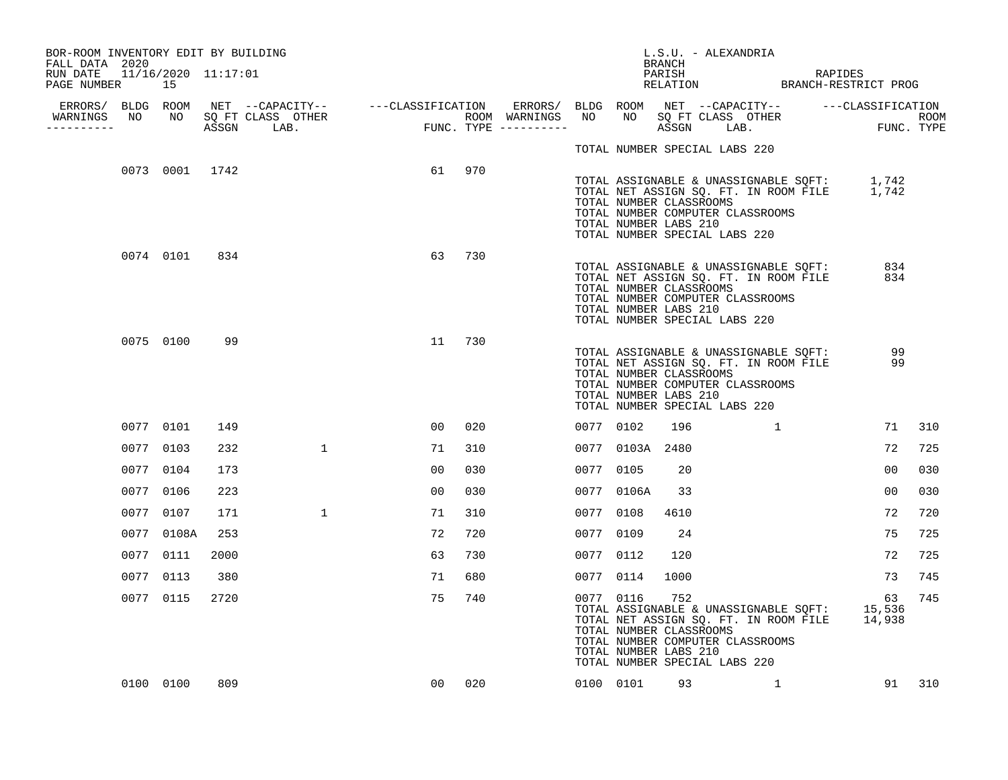| BOR-ROOM INVENTORY EDIT BY BUILDING                           |           |                |      |   |        |        |           |                                                                                                                       | L.S.U. - ALEXANDRIA |          |                                                                                              |                |     |
|---------------------------------------------------------------|-----------|----------------|------|---|--------|--------|-----------|-----------------------------------------------------------------------------------------------------------------------|---------------------|----------|----------------------------------------------------------------------------------------------|----------------|-----|
| FALL DATA 2020<br>RUN DATE 11/16/2020 11:17:01<br>PAGE NUMBER | 15        |                |      |   |        |        |           |                                                                                                                       | BRANCH              |          | PARISH RAPIDES RELATION BRANCH-RESTRICT PROG                                                 |                |     |
|                                                               |           |                |      |   |        |        |           |                                                                                                                       |                     |          |                                                                                              |                |     |
| WARNINGS NO NO SQ FT CLASS OTHER<br>-----------               |           |                |      |   |        |        |           |                                                                                                                       |                     |          |                                                                                              |                |     |
|                                                               |           |                |      |   |        |        |           | TOTAL NUMBER SPECIAL LABS 220                                                                                         |                     |          |                                                                                              |                |     |
|                                                               |           | 0073 0001 1742 |      |   | 61 970 |        |           | TOTAL NUMBER CLASSROOMS<br>TOTAL NUMBER COMPUTER CLASSROOMS<br>TOTAL NUMBER LABS 210<br>TOTAL NUMBER SPECIAL LABS 220 |                     |          | TOTAL ASSIGNABLE & UNASSIGNABLE SQFT: 1,742<br>TOTAL NET ASSIGN SQ. FT. IN ROOM FILE 1,742   |                |     |
|                                                               |           | 0074 0101      | 834  |   | 63     | 730    |           | TOTAL NUMBER CLASSROOMS<br>TOTAL NUMBER COMPUTER CLASSROOMS<br>TOTAL NUMBER LABS 210<br>TOTAL NUMBER SPECIAL LABS 220 |                     |          | TOTAL ASSIGNABLE & UNASSIGNABLE SQFT:<br>TOTAL NET ASSIGN SQ. FT. IN ROOM FILE               | 834<br>834     |     |
|                                                               |           | 0075 0100      | 99   |   | 11     | 730    |           | TOTAL NUMBER CLASSROOMS<br>TOTAL NUMBER COMPUTER CLASSROOMS<br>TOTAL NUMBER LABS 210<br>TOTAL NUMBER SPECIAL LABS 220 |                     |          | TOTAL ASSIGNABLE & UNASSIGNABLE SQFT:<br>TOTAL NET ASSIGN SQ. FT. IN ROOM FILE               | 99<br>99       |     |
|                                                               | 0077 0101 |                | 149  |   | 00     | 020    | 0077 0102 |                                                                                                                       | 196                 | 1        |                                                                                              | 71             | 310 |
|                                                               | 0077 0103 |                | 232  | 1 | 71     | 310    |           | 0077 0103A 2480                                                                                                       |                     |          |                                                                                              | 72             | 725 |
|                                                               | 0077 0104 |                | 173  |   | 00     | 030    | 0077 0105 |                                                                                                                       | 20                  |          |                                                                                              | 00             | 030 |
|                                                               | 0077      | 0106           | 223  |   | 00     | 030    |           | 0077 0106A                                                                                                            | 33                  |          |                                                                                              | 0 <sub>0</sub> | 030 |
|                                                               | 0077 0107 |                | 171  | 1 | 71     | 310    | 0077 0108 |                                                                                                                       | 4610                |          |                                                                                              | 72             | 720 |
|                                                               |           | 0077 0108A     | 253  |   | 72     | 720    | 0077 0109 |                                                                                                                       | -24                 |          |                                                                                              | 75             | 725 |
|                                                               | 0077 0111 |                | 2000 |   | 63     | 730    | 0077 0112 |                                                                                                                       | 120                 |          |                                                                                              | 72             | 725 |
|                                                               | 0077 0113 |                | 380  |   | 71     | 680    | 0077 0114 |                                                                                                                       | 1000                |          |                                                                                              | 73             | 745 |
|                                                               | 0077 0115 |                | 2720 |   | 75     | 740    | 0077 0116 | TOTAL NUMBER CLASSROOMS<br>TOTAL NUMBER COMPUTER CLASSROOMS<br>TOTAL NUMBER LABS 210<br>TOTAL NUMBER SPECIAL LABS 220 | 752                 |          | TOTAL ASSIGNABLE & UNASSIGNABLE SOFT: 15,536<br>TOTAL NET ASSIGN SQ. FT. IN ROOM FILE 14,938 | 63             | 745 |
|                                                               |           | 0100 0100      | 809  |   |        | 00 020 |           | 0100 0101 93                                                                                                          |                     | $\sim$ 1 |                                                                                              | 91 310         |     |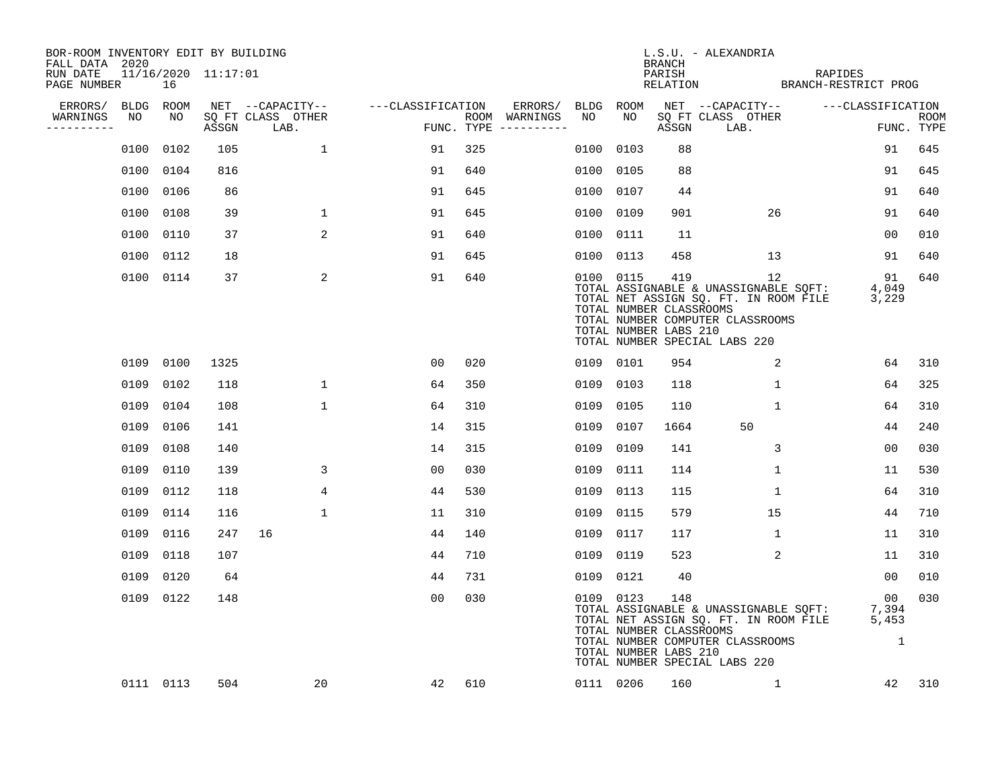| BOR-ROOM INVENTORY EDIT BY BUILDING<br>FALL DATA 2020 |           |           |                     |                                 |                                     |     |                                      |           |           | <b>BRANCH</b>                                           | L.S.U. - ALEXANDRIA                                                                                                                                       |                   |                                      |                           |
|-------------------------------------------------------|-----------|-----------|---------------------|---------------------------------|-------------------------------------|-----|--------------------------------------|-----------|-----------|---------------------------------------------------------|-----------------------------------------------------------------------------------------------------------------------------------------------------------|-------------------|--------------------------------------|---------------------------|
| RUN DATE<br>PAGE NUMBER                               |           | 16        | 11/16/2020 11:17:01 |                                 |                                     |     |                                      |           |           | PARISH                                                  | PARISH RAPIDES<br>RELATION BRANCH-RESTRICT PROG                                                                                                           | RAPIDES           |                                      |                           |
| ERRORS/                                               |           | BLDG ROOM |                     |                                 | NET --CAPACITY-- ----CLASSIFICATION |     | ERRORS/                              | BLDG ROOM |           |                                                         | NET --CAPACITY--                                                                                                                                          | ---CLASSIFICATION |                                      |                           |
| WARNINGS<br>----------                                | NO        | NO        |                     | SQ FT CLASS OTHER<br>ASSGN LAB. |                                     |     | ROOM WARNINGS<br>FUNC. TYPE $------$ | NO        | NO .      | ASSGN                                                   | SQ FT CLASS OTHER<br>LAB.                                                                                                                                 |                   |                                      | <b>ROOM</b><br>FUNC. TYPE |
|                                                       |           | 0100 0102 | 105                 | $\mathbf{1}$                    | 91                                  | 325 |                                      | 0100      | 0103      | 88                                                      |                                                                                                                                                           |                   | 91                                   | 645                       |
|                                                       |           | 0100 0104 | 816                 |                                 | 91                                  | 640 |                                      |           | 0100 0105 | 88                                                      |                                                                                                                                                           |                   | 91                                   | 645                       |
|                                                       | 0100 0106 |           | 86                  |                                 | 91                                  | 645 |                                      |           | 0100 0107 | 44                                                      |                                                                                                                                                           |                   | 91                                   | 640                       |
|                                                       |           | 0100 0108 | 39                  | $\mathbf 1$                     | 91                                  | 645 |                                      |           | 0100 0109 | 901                                                     | 26                                                                                                                                                        |                   | 91                                   | 640                       |
|                                                       |           | 0100 0110 | 37                  | 2                               | 91                                  | 640 |                                      |           | 0100 0111 | 11                                                      |                                                                                                                                                           |                   | 00                                   | 010                       |
|                                                       |           | 0100 0112 | 18                  |                                 | 91                                  | 645 |                                      |           | 0100 0113 | 458                                                     | 13                                                                                                                                                        |                   | 91                                   | 640                       |
|                                                       |           | 0100 0114 | 37                  | 2                               | 91                                  | 640 |                                      |           | 0100 0115 | 419<br>TOTAL NUMBER CLASSROOMS<br>TOTAL NUMBER LABS 210 | 12<br>TOTAL ASSIGNABLE & UNASSIGNABLE SQFT:<br>TOTAL NET ASSIGN SQ. FT. IN ROOM FILE<br>TOTAL NUMBER COMPUTER CLASSROOMS<br>TOTAL NUMBER SPECIAL LABS 220 |                   | 91<br>4,049<br>3,229                 | 640                       |
|                                                       |           | 0109 0100 | 1325                |                                 | 00                                  | 020 |                                      |           | 0109 0101 | 954                                                     | 2                                                                                                                                                         |                   | 64                                   | 310                       |
|                                                       | 0109 0102 |           | 118                 | $\mathbf{1}$                    | 64                                  | 350 |                                      |           | 0109 0103 | 118                                                     | $\mathbf{1}$                                                                                                                                              |                   | 64                                   | 325                       |
|                                                       |           | 0109 0104 | 108                 | $\mathbf{1}$                    | 64                                  | 310 |                                      | 0109      | 0105      | 110                                                     | $\mathbf{1}$                                                                                                                                              |                   | 64                                   | 310                       |
|                                                       | 0109 0106 |           | 141                 |                                 | 14                                  | 315 |                                      |           | 0109 0107 | 1664                                                    | 50                                                                                                                                                        |                   | 44                                   | 240                       |
|                                                       | 0109 0108 |           | 140                 |                                 | 14                                  | 315 |                                      | 0109      | 0109      | 141                                                     | $\mathbf{3}$                                                                                                                                              |                   | 0 <sub>0</sub>                       | 030                       |
|                                                       | 0109 0110 |           | 139                 | 3                               | 00                                  | 030 |                                      |           | 0109 0111 | 114                                                     | 1                                                                                                                                                         |                   | 11                                   | 530                       |
|                                                       |           | 0109 0112 | 118                 | 4                               | 44                                  | 530 |                                      | 0109      | 0113      | 115                                                     | $\mathbf 1$                                                                                                                                               |                   | 64                                   | 310                       |
|                                                       |           | 0109 0114 | 116                 | $\mathbf 1$                     | 11                                  | 310 |                                      |           | 0109 0115 | 579                                                     | 15                                                                                                                                                        |                   | 44                                   | 710                       |
|                                                       | 0109 0116 |           | 247                 | 16                              | 44                                  | 140 |                                      | 0109      | 0117      | 117                                                     | 1                                                                                                                                                         |                   | 11                                   | 310                       |
|                                                       |           | 0109 0118 | 107                 |                                 | 44                                  | 710 |                                      |           | 0109 0119 | 523                                                     | 2                                                                                                                                                         |                   | 11                                   | 310                       |
|                                                       |           | 0109 0120 | 64                  |                                 | 44                                  | 731 |                                      |           | 0109 0121 | 40                                                      |                                                                                                                                                           |                   | 00                                   | 010                       |
|                                                       |           | 0109 0122 | 148                 |                                 | 0 <sub>0</sub>                      | 030 |                                      |           | 0109 0123 | 148<br>TOTAL NUMBER CLASSROOMS<br>TOTAL NUMBER LABS 210 | TOTAL ASSIGNABLE & UNASSIGNABLE SQFT:<br>TOTAL NET ASSIGN SQ. FT. IN ROOM FILE<br>TOTAL NUMBER COMPUTER CLASSROOMS<br>TOTAL NUMBER SPECIAL LABS 220       |                   | 00<br>7,394<br>5,453<br>$\mathbf{1}$ | 030                       |
|                                                       |           | 0111 0113 | 504                 | 20                              | 42                                  | 610 |                                      |           | 0111 0206 | 160                                                     | 1                                                                                                                                                         |                   | 42                                   | 310                       |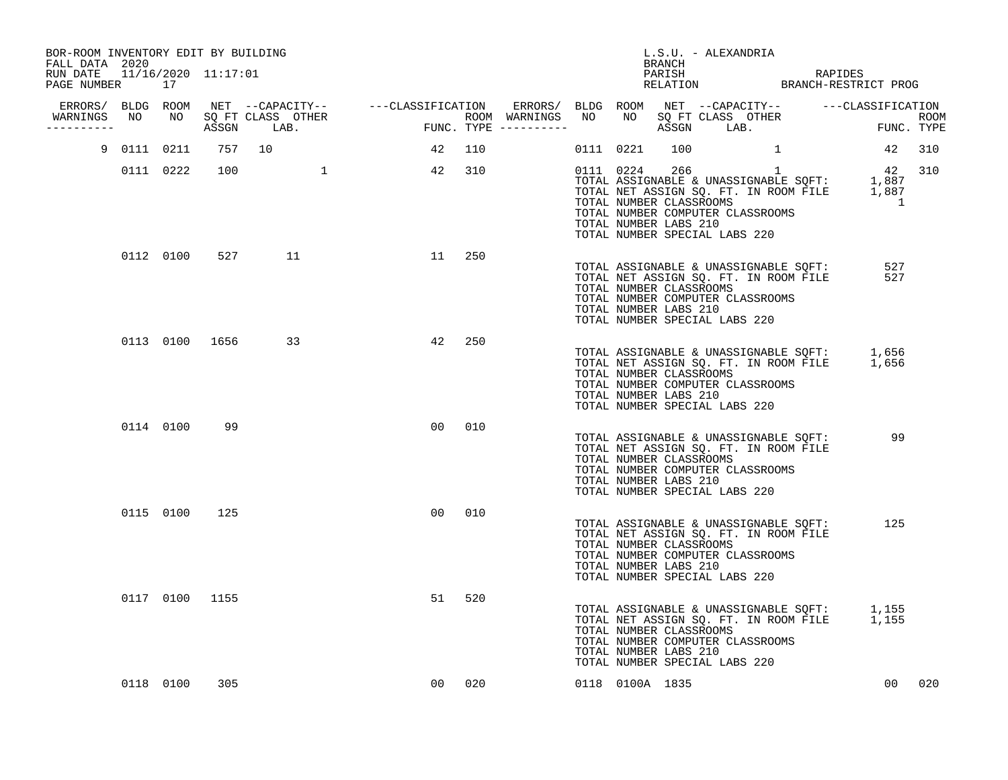| BOR-ROOM INVENTORY EDIT BY BUILDING<br>FALL DATA 2020 |             |           |                |          |                                        |        |           | BRANCH                                           | L.S.U. - ALEXANDRIA                                               |          |                                                                                |                                                                                                                                                                                       |            |        |
|-------------------------------------------------------|-------------|-----------|----------------|----------|----------------------------------------|--------|-----------|--------------------------------------------------|-------------------------------------------------------------------|----------|--------------------------------------------------------------------------------|---------------------------------------------------------------------------------------------------------------------------------------------------------------------------------------|------------|--------|
| RUN DATE 11/16/2020 11:17:01<br>PAGE NUMBER           |             | 17        |                |          |                                        |        |           |                                                  |                                                                   |          |                                                                                | PARISH RAPIDES<br>RELATION BRANCH-RESTRICT PROG                                                                                                                                       |            |        |
|                                                       |             |           |                |          |                                        |        |           |                                                  |                                                                   |          |                                                                                |                                                                                                                                                                                       |            |        |
| WARNINGS<br>---------                                 |             |           |                |          | ROOM WARNINGS<br>FUNC. TYPE ---------- |        |           |                                                  |                                                                   |          |                                                                                |                                                                                                                                                                                       |            |        |
|                                                       | 9 0111 0211 |           |                | 757 10   | 42                                     | 110    | 0111 0221 | 100                                              |                                                                   | $\sim$ 1 |                                                                                | 42 310                                                                                                                                                                                |            |        |
|                                                       |             |           | 0111 0222 100  | $\sim$ 1 | 42                                     | 310    |           | TOTAL NUMBER CLASSROOMS<br>TOTAL NUMBER LABS 210 | TOTAL NUMBER COMPUTER CLASSROOMS<br>TOTAL NUMBER SPECIAL LABS 220 |          |                                                                                | 0111 0224 266 1 42 310<br>TOTAL ASSIGNABLE & UNASSIGNABLE SQFT: 1,887<br>TOTAL NET ASSIGN SQ. FT. IN ROOM FILE 1,887<br>TOTAL NET ASSIGN SQ. FT. IN ROOM FILE 1,887<br>$\overline{1}$ |            |        |
|                                                       |             | 0112 0100 | 527            | 11       |                                        | 11 250 |           | TOTAL NUMBER CLASSROOMS<br>TOTAL NUMBER LABS 210 | TOTAL NUMBER COMPUTER CLASSROOMS<br>TOTAL NUMBER SPECIAL LABS 220 |          |                                                                                | TOTAL NET ASSIGN SQ. FT. IN ROOM FILE<br>TOTAL NET ASSIGN SQ. FT. IN ROOM FILE<br>TOTAL NUMBER CLASSPOOMS                                                                             | 527<br>527 |        |
|                                                       |             |           |                | 33       | 42                                     | 250    |           | TOTAL NUMBER CLASSROOMS<br>TOTAL NUMBER LABS 210 | TOTAL NUMBER COMPUTER CLASSROOMS<br>TOTAL NUMBER SPECIAL LABS 220 |          |                                                                                | TOTAL ASSIGNABLE & UNASSIGNABLE SQFT: 1,656<br>TOTAL NET ASSIGN SQ. FT. IN ROOM FILE 1,656                                                                                            |            |        |
|                                                       |             | 0114 0100 | 99             |          | 0 <sub>0</sub>                         | 010    |           | TOTAL NUMBER CLASSROOMS<br>TOTAL NUMBER LABS 210 | TOTAL NUMBER COMPUTER CLASSROOMS<br>TOTAL NUMBER SPECIAL LABS 220 |          | TOTAL ASSIGNABLE & UNASSIGNABLE SQFT:<br>TOTAL NET ASSIGN SQ. FT. IN ROOM FILE | 99                                                                                                                                                                                    |            |        |
|                                                       |             |           | 0115 0100 125  |          | 00                                     | 010    |           | TOTAL NUMBER CLASSROOMS<br>TOTAL NUMBER LABS 210 | TOTAL NUMBER COMPUTER CLASSROOMS<br>TOTAL NUMBER SPECIAL LABS 220 |          | TOTAL ASSIGNABLE & UNASSIGNABLE SQFT:<br>TOTAL NET ASSIGN SQ. FT. IN ROOM FILE |                                                                                                                                                                                       | 125        |        |
|                                                       |             |           | 0117 0100 1155 |          | 51                                     | 520    |           | TOTAL NUMBER CLASSROOMS<br>TOTAL NUMBER LABS 210 | TOTAL NUMBER COMPUTER CLASSROOMS<br>TOTAL NUMBER SPECIAL LABS 220 |          |                                                                                | TOTAL ASSIGNABLE & UNASSIGNABLE SQFT: 1,155<br>TOTAL NET ASSIGN SQ. FT. IN ROOM FILE 1,155                                                                                            |            |        |
|                                                       |             | 0118 0100 | 305            |          |                                        | 00 020 |           | 0118 0100A 1835                                  |                                                                   |          |                                                                                |                                                                                                                                                                                       |            | 00 020 |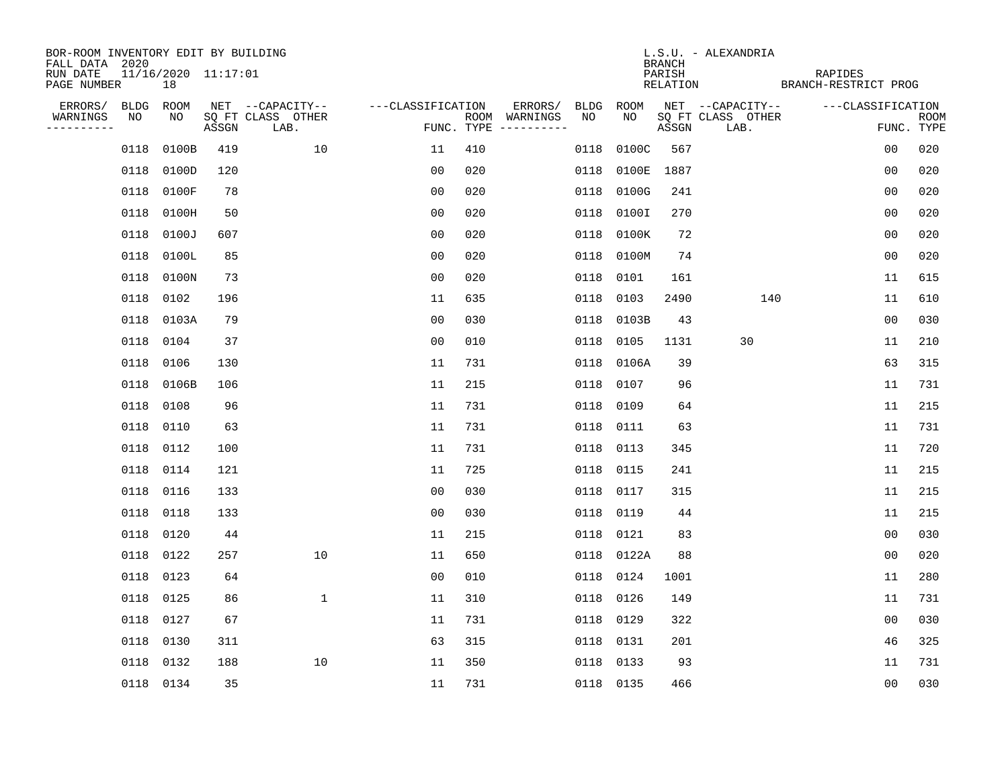| BOR-ROOM INVENTORY EDIT BY BUILDING<br>FALL DATA 2020 |             |                           |       |                           |                   |     |                                      |      |             | <b>BRANCH</b>      | L.S.U. - ALEXANDRIA       |                                 |                |             |
|-------------------------------------------------------|-------------|---------------------------|-------|---------------------------|-------------------|-----|--------------------------------------|------|-------------|--------------------|---------------------------|---------------------------------|----------------|-------------|
| RUN DATE<br>PAGE NUMBER                               |             | 11/16/2020 11:17:01<br>18 |       |                           |                   |     |                                      |      |             | PARISH<br>RELATION |                           | RAPIDES<br>BRANCH-RESTRICT PROG |                |             |
| ERRORS/                                               | <b>BLDG</b> | ROOM                      |       | NET --CAPACITY--          | ---CLASSIFICATION |     | ERRORS/                              | BLDG | <b>ROOM</b> |                    | NET --CAPACITY--          | ---CLASSIFICATION               |                |             |
| WARNINGS<br>-----------                               | NO          | NO                        | ASSGN | SQ FT CLASS OTHER<br>LAB. |                   |     | ROOM WARNINGS<br>FUNC. TYPE $------$ | NO   | NO          | ASSGN              | SQ FT CLASS OTHER<br>LAB. |                                 | FUNC. TYPE     | <b>ROOM</b> |
|                                                       | 0118        | 0100B                     | 419   | 10                        | 11                | 410 |                                      | 0118 | 0100C       | 567                |                           |                                 | 00             | 020         |
|                                                       | 0118        | 0100D                     | 120   |                           | 0 <sub>0</sub>    | 020 |                                      | 0118 | 0100E       | 1887               |                           |                                 | 0 <sub>0</sub> | 020         |
|                                                       | 0118        | 0100F                     | 78    |                           | 0 <sub>0</sub>    | 020 |                                      | 0118 | 0100G       | 241                |                           |                                 | 0 <sub>0</sub> | 020         |
|                                                       | 0118        | 0100H                     | 50    |                           | 0 <sub>0</sub>    | 020 |                                      | 0118 | 0100I       | 270                |                           |                                 | 0 <sub>0</sub> | 020         |
|                                                       | 0118        | 0100J                     | 607   |                           | 0 <sub>0</sub>    | 020 |                                      | 0118 | 0100K       | 72                 |                           |                                 | 00             | 020         |
|                                                       |             | 0118 0100L                | 85    |                           | 0 <sub>0</sub>    | 020 |                                      |      | 0118 0100M  | 74                 |                           |                                 | 0 <sub>0</sub> | 020         |
|                                                       |             | 0118 0100N                | 73    |                           | 0 <sub>0</sub>    | 020 |                                      | 0118 | 0101        | 161                |                           |                                 | 11             | 615         |
|                                                       |             | 0118 0102                 | 196   |                           | 11                | 635 |                                      | 0118 | 0103        | 2490               | 140                       |                                 | 11             | 610         |
|                                                       | 0118        | 0103A                     | 79    |                           | 0 <sub>0</sub>    | 030 |                                      | 0118 | 0103B       | 43                 |                           |                                 | 0 <sub>0</sub> | 030         |
|                                                       | 0118 0104   |                           | 37    |                           | 0 <sub>0</sub>    | 010 |                                      | 0118 | 0105        | 1131               | 30                        |                                 | 11             | 210         |
|                                                       | 0118        | 0106                      | 130   |                           | 11                | 731 |                                      | 0118 | 0106A       | 39                 |                           |                                 | 63             | 315         |
|                                                       | 0118        | 0106B                     | 106   |                           | 11                | 215 |                                      |      | 0118 0107   | 96                 |                           |                                 | 11             | 731         |
|                                                       | 0118        | 0108                      | 96    |                           | 11                | 731 |                                      | 0118 | 0109        | 64                 |                           |                                 | 11             | 215         |
|                                                       | 0118        | 0110                      | 63    |                           | 11                | 731 |                                      |      | 0118 0111   | 63                 |                           |                                 | 11             | 731         |
|                                                       | 0118 0112   |                           | 100   |                           | 11                | 731 |                                      | 0118 | 0113        | 345                |                           |                                 | 11             | 720         |
|                                                       | 0118        | 0114                      | 121   |                           | 11                | 725 |                                      |      | 0118 0115   | 241                |                           |                                 | 11             | 215         |
|                                                       | 0118        | 0116                      | 133   |                           | 0 <sub>0</sub>    | 030 |                                      | 0118 | 0117        | 315                |                           |                                 | 11             | 215         |
|                                                       | 0118        | 0118                      | 133   |                           | 0 <sub>0</sub>    | 030 |                                      |      | 0118 0119   | 44                 |                           |                                 | 11             | 215         |
|                                                       | 0118 0120   |                           | 44    |                           | 11                | 215 |                                      |      | 0118 0121   | 83                 |                           |                                 | 0 <sub>0</sub> | 030         |
|                                                       | 0118 0122   |                           | 257   | 10                        | 11                | 650 |                                      |      | 0118 0122A  | 88                 |                           |                                 | 0 <sub>0</sub> | 020         |
|                                                       | 0118 0123   |                           | 64    |                           | 0 <sub>0</sub>    | 010 |                                      | 0118 | 0124        | 1001               |                           |                                 | 11             | 280         |
|                                                       | 0118        | 0125                      | 86    | $\mathbf{1}$              | 11                | 310 |                                      |      | 0118 0126   | 149                |                           |                                 | 11             | 731         |
|                                                       | 0118 0127   |                           | 67    |                           | 11                | 731 |                                      |      | 0118 0129   | 322                |                           |                                 | 0 <sub>0</sub> | 030         |
|                                                       | 0118        | 0130                      | 311   |                           | 63                | 315 |                                      |      | 0118 0131   | 201                |                           |                                 | 46             | 325         |
|                                                       | 0118        | 0132                      | 188   | 10                        | 11                | 350 |                                      |      | 0118 0133   | 93                 |                           |                                 | 11             | 731         |
|                                                       | 0118 0134   |                           | 35    |                           | 11                | 731 |                                      |      | 0118 0135   | 466                |                           |                                 | 0 <sub>0</sub> | 030         |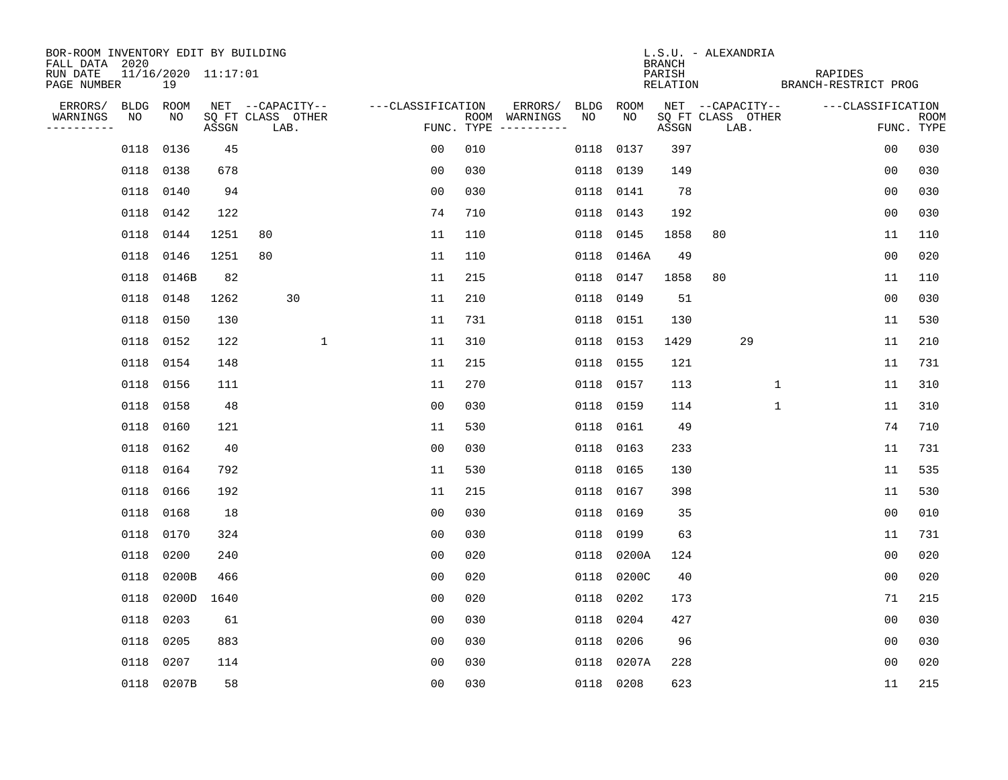| BOR-ROOM INVENTORY EDIT BY BUILDING<br>FALL DATA 2020 |                           |       |       |                           |                   |     |                                        |             |             | <b>BRANCH</b>      | L.S.U. - ALEXANDRIA       |                                 |                   |                           |
|-------------------------------------------------------|---------------------------|-------|-------|---------------------------|-------------------|-----|----------------------------------------|-------------|-------------|--------------------|---------------------------|---------------------------------|-------------------|---------------------------|
| RUN DATE<br>PAGE NUMBER                               | 11/16/2020 11:17:01<br>19 |       |       |                           |                   |     |                                        |             |             | PARISH<br>RELATION |                           | RAPIDES<br>BRANCH-RESTRICT PROG |                   |                           |
| ERRORS/                                               | BLDG ROOM                 |       |       | NET --CAPACITY--          | ---CLASSIFICATION |     | ERRORS/                                | <b>BLDG</b> | <b>ROOM</b> |                    | NET --CAPACITY--          |                                 | ---CLASSIFICATION |                           |
| WARNINGS<br>NO<br>----------                          | NO                        |       | ASSGN | SQ FT CLASS OTHER<br>LAB. |                   |     | ROOM WARNINGS<br>FUNC. TYPE ---------- | NO          | NO          | ASSGN              | SQ FT CLASS OTHER<br>LAB. |                                 |                   | <b>ROOM</b><br>FUNC. TYPE |
|                                                       | 0136<br>0118              |       | 45    |                           | 00                | 010 |                                        | 0118        | 0137        | 397                |                           |                                 | 0 <sub>0</sub>    | 030                       |
|                                                       | 0118 0138                 |       | 678   |                           | 0 <sub>0</sub>    | 030 |                                        | 0118        | 0139        | 149                |                           |                                 | 0 <sub>0</sub>    | 030                       |
|                                                       | 0118<br>0140              |       | 94    |                           | 0 <sub>0</sub>    | 030 |                                        | 0118        | 0141        | 78                 |                           |                                 | 0 <sub>0</sub>    | 030                       |
|                                                       | 0118 0142                 |       | 122   |                           | 74                | 710 |                                        | 0118        | 0143        | 192                |                           |                                 | 0 <sub>0</sub>    | 030                       |
|                                                       | 0118<br>0144              |       | 1251  | 80                        | 11                | 110 |                                        | 0118        | 0145        | 1858               | 80                        |                                 | 11                | 110                       |
|                                                       | 0118 0146                 |       | 1251  | 80                        | 11                | 110 |                                        | 0118        | 0146A       | 49                 |                           |                                 | 0 <sub>0</sub>    | 020                       |
|                                                       | 0118 0146B                |       | 82    |                           | 11                | 215 |                                        | 0118        | 0147        | 1858               | 80                        |                                 | 11                | 110                       |
|                                                       | 0118 0148                 |       | 1262  | 30                        | 11                | 210 |                                        | 0118        | 0149        | 51                 |                           |                                 | 0 <sub>0</sub>    | 030                       |
|                                                       | 0118<br>0150              |       | 130   |                           | 11                | 731 |                                        | 0118        | 0151        | 130                |                           |                                 | 11                | 530                       |
|                                                       | 0118 0152                 |       | 122   | $\mathbf 1$               | 11                | 310 |                                        |             | 0118 0153   | 1429               | 29                        |                                 | 11                | 210                       |
|                                                       | 0118 0154                 |       | 148   |                           | 11                | 215 |                                        | 0118        | 0155        | 121                |                           |                                 | 11                | 731                       |
|                                                       | 0118 0156                 |       | 111   |                           | 11                | 270 |                                        | 0118        | 0157        | 113                |                           | $\mathbf{1}$                    | 11                | 310                       |
|                                                       | 0118<br>0158              |       | 48    |                           | 0 <sub>0</sub>    | 030 |                                        | 0118        | 0159        | 114                |                           | $\mathbf 1$                     | 11                | 310                       |
|                                                       | 0118<br>0160              |       | 121   |                           | 11                | 530 |                                        |             | 0118 0161   | 49                 |                           |                                 | 74                | 710                       |
|                                                       | 0118<br>0162              |       | 40    |                           | 0 <sub>0</sub>    | 030 |                                        | 0118        | 0163        | 233                |                           |                                 | 11                | 731                       |
|                                                       | 0118 0164                 |       | 792   |                           | 11                | 530 |                                        | 0118        | 0165        | 130                |                           |                                 | 11                | 535                       |
|                                                       | 0118<br>0166              |       | 192   |                           | 11                | 215 |                                        | 0118        | 0167        | 398                |                           |                                 | 11                | 530                       |
|                                                       | 0118<br>0168              |       | 18    |                           | 0 <sub>0</sub>    | 030 |                                        | 0118        | 0169        | 35                 |                           |                                 | 0 <sub>0</sub>    | 010                       |
|                                                       | 0118 0170                 |       | 324   |                           | 0 <sub>0</sub>    | 030 |                                        | 0118        | 0199        | 63                 |                           |                                 | 11                | 731                       |
|                                                       | 0118<br>0200              |       | 240   |                           | 0 <sub>0</sub>    | 020 |                                        | 0118        | 0200A       | 124                |                           |                                 | 0 <sub>0</sub>    | 020                       |
|                                                       | 0118                      | 0200B | 466   |                           | 0 <sub>0</sub>    | 020 |                                        | 0118        | 0200C       | 40                 |                           |                                 | 0 <sub>0</sub>    | 020                       |
|                                                       | 0118                      | 0200D | 1640  |                           | 0 <sub>0</sub>    | 020 |                                        | 0118        | 0202        | 173                |                           |                                 | 71                | 215                       |
|                                                       | 0203<br>0118              |       | 61    |                           | 0 <sub>0</sub>    | 030 |                                        | 0118        | 0204        | 427                |                           |                                 | 0 <sub>0</sub>    | 030                       |
|                                                       | 0118<br>0205              |       | 883   |                           | 0 <sub>0</sub>    | 030 |                                        | 0118        | 0206        | 96                 |                           |                                 | 0 <sub>0</sub>    | 030                       |
|                                                       | 0207<br>0118              |       | 114   |                           | 0 <sub>0</sub>    | 030 |                                        | 0118        | 0207A       | 228                |                           |                                 | 0 <sub>0</sub>    | 020                       |
|                                                       | 0118 0207B                |       | 58    |                           | 0 <sub>0</sub>    | 030 |                                        |             | 0118 0208   | 623                |                           |                                 | 11                | 215                       |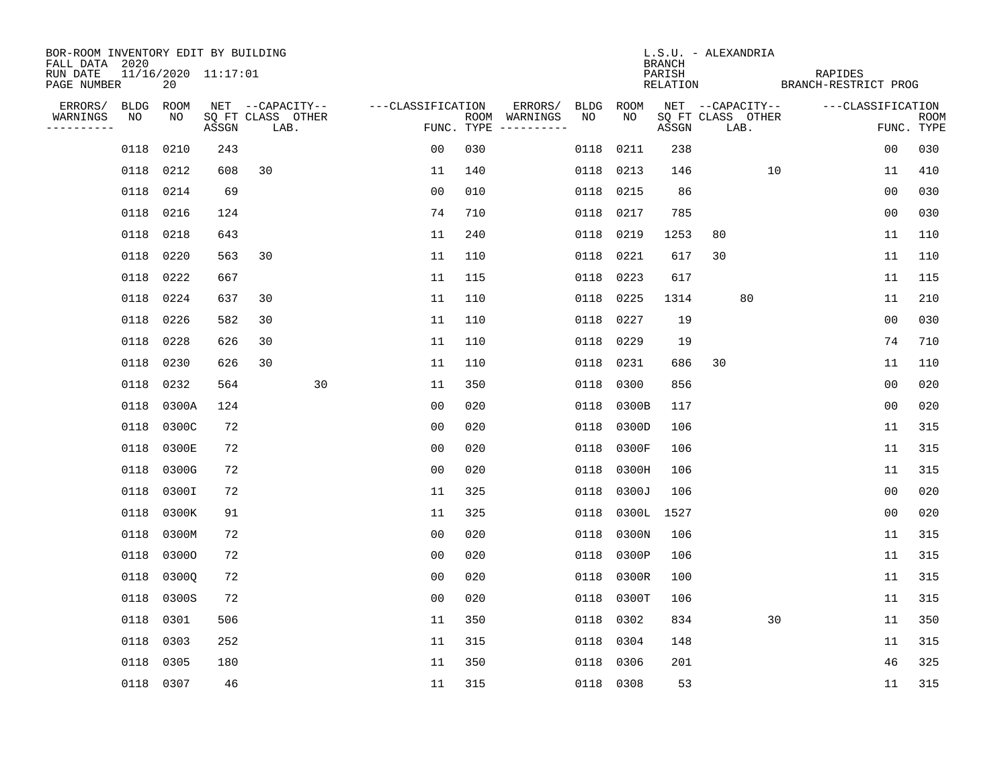| BOR-ROOM INVENTORY EDIT BY BUILDING<br>FALL DATA 2020 |             |       |                     |                           |                   |            |                              |             |           | <b>BRANCH</b>      | L.S.U. - ALEXANDRIA       |                                 |                |             |
|-------------------------------------------------------|-------------|-------|---------------------|---------------------------|-------------------|------------|------------------------------|-------------|-----------|--------------------|---------------------------|---------------------------------|----------------|-------------|
| RUN DATE<br>PAGE NUMBER                               |             | 20    | 11/16/2020 11:17:01 |                           |                   |            |                              |             |           | PARISH<br>RELATION |                           | RAPIDES<br>BRANCH-RESTRICT PROG |                |             |
| ERRORS/                                               | <b>BLDG</b> | ROOM  |                     | NET --CAPACITY--          | ---CLASSIFICATION |            | ERRORS/                      | <b>BLDG</b> | ROOM      |                    | NET --CAPACITY--          | ---CLASSIFICATION               |                |             |
| WARNINGS<br>----------                                | NO          | NO    | ASSGN               | SQ FT CLASS OTHER<br>LAB. |                   | FUNC. TYPE | ROOM WARNINGS<br>----------- | NO          | NO        | ASSGN              | SQ FT CLASS OTHER<br>LAB. |                                 | FUNC. TYPE     | <b>ROOM</b> |
|                                                       | 0118        | 0210  | 243                 |                           | 00                | 030        |                              | 0118        | 0211      | 238                |                           |                                 | 0 <sub>0</sub> | 030         |
|                                                       | 0118        | 0212  | 608                 | 30                        | 11                | 140        |                              | 0118        | 0213      | 146                | 10                        |                                 | 11             | 410         |
|                                                       | 0118        | 0214  | 69                  |                           | 0 <sub>0</sub>    | 010        |                              | 0118        | 0215      | 86                 |                           |                                 | 0 <sub>0</sub> | 030         |
|                                                       | 0118        | 0216  | 124                 |                           | 74                | 710        |                              | 0118        | 0217      | 785                |                           |                                 | 0 <sub>0</sub> | 030         |
|                                                       | 0118        | 0218  | 643                 |                           | 11                | 240        |                              | 0118        | 0219      | 1253               | 80                        |                                 | 11             | 110         |
|                                                       | 0118        | 0220  | 563                 | 30                        | 11                | 110        |                              | 0118        | 0221      | 617                | 30                        |                                 | 11             | 110         |
|                                                       | 0118        | 0222  | 667                 |                           | 11                | 115        |                              | 0118        | 0223      | 617                |                           |                                 | 11             | 115         |
|                                                       | 0118        | 0224  | 637                 | 30                        | 11                | 110        |                              | 0118        | 0225      | 1314               | 80                        |                                 | 11             | 210         |
|                                                       | 0118        | 0226  | 582                 | 30                        | 11                | 110        |                              | 0118        | 0227      | 19                 |                           |                                 | 0 <sub>0</sub> | 030         |
|                                                       | 0118        | 0228  | 626                 | 30                        | 11                | 110        |                              | 0118        | 0229      | 19                 |                           |                                 | 74             | 710         |
|                                                       | 0118        | 0230  | 626                 | 30                        | 11                | 110        |                              | 0118        | 0231      | 686                | 30                        |                                 | 11             | 110         |
|                                                       | 0118        | 0232  | 564                 |                           | 30<br>11          | 350        |                              | 0118        | 0300      | 856                |                           |                                 | 0 <sub>0</sub> | 020         |
|                                                       | 0118        | 0300A | 124                 |                           | 0 <sub>0</sub>    | 020        |                              | 0118        | 0300B     | 117                |                           |                                 | 0 <sub>0</sub> | 020         |
|                                                       | 0118        | 0300C | 72                  |                           | 00                | 020        |                              | 0118        | 0300D     | 106                |                           |                                 | 11             | 315         |
|                                                       | 0118        | 0300E | 72                  |                           | 0 <sub>0</sub>    | 020        |                              | 0118        | 0300F     | 106                |                           |                                 | 11             | 315         |
|                                                       | 0118        | 0300G | 72                  |                           | 0 <sub>0</sub>    | 020        |                              | 0118        | 0300H     | 106                |                           |                                 | 11             | 315         |
|                                                       | 0118        | 0300I | 72                  |                           | 11                | 325        |                              | 0118        | 0300J     | 106                |                           |                                 | 0 <sub>0</sub> | 020         |
|                                                       | 0118        | 0300K | 91                  |                           | 11                | 325        |                              | 0118        | 0300L     | 1527               |                           |                                 | 0 <sub>0</sub> | 020         |
|                                                       | 0118        | 0300M | 72                  |                           | 0 <sub>0</sub>    | 020        |                              | 0118        | 0300N     | 106                |                           |                                 | 11             | 315         |
|                                                       | 0118        | 03000 | 72                  |                           | 0 <sub>0</sub>    | 020        |                              | 0118        | 0300P     | 106                |                           |                                 | 11             | 315         |
|                                                       | 0118        | 0300Q | 72                  |                           | 0 <sub>0</sub>    | 020        |                              | 0118        | 0300R     | 100                |                           |                                 | 11             | 315         |
|                                                       | 0118        | 0300S | 72                  |                           | 0 <sub>0</sub>    | 020        |                              | 0118        | 0300T     | 106                |                           |                                 | 11             | 315         |
|                                                       | 0118        | 0301  | 506                 |                           | 11                | 350        |                              | 0118        | 0302      | 834                | 30                        |                                 | 11             | 350         |
|                                                       | 0118        | 0303  | 252                 |                           | 11                | 315        |                              | 0118        | 0304      | 148                |                           |                                 | 11             | 315         |
|                                                       | 0118        | 0305  | 180                 |                           | 11                | 350        |                              | 0118        | 0306      | 201                |                           |                                 | 46             | 325         |
|                                                       | 0118 0307   |       | 46                  |                           | 11                | 315        |                              |             | 0118 0308 | 53                 |                           |                                 | 11             | 315         |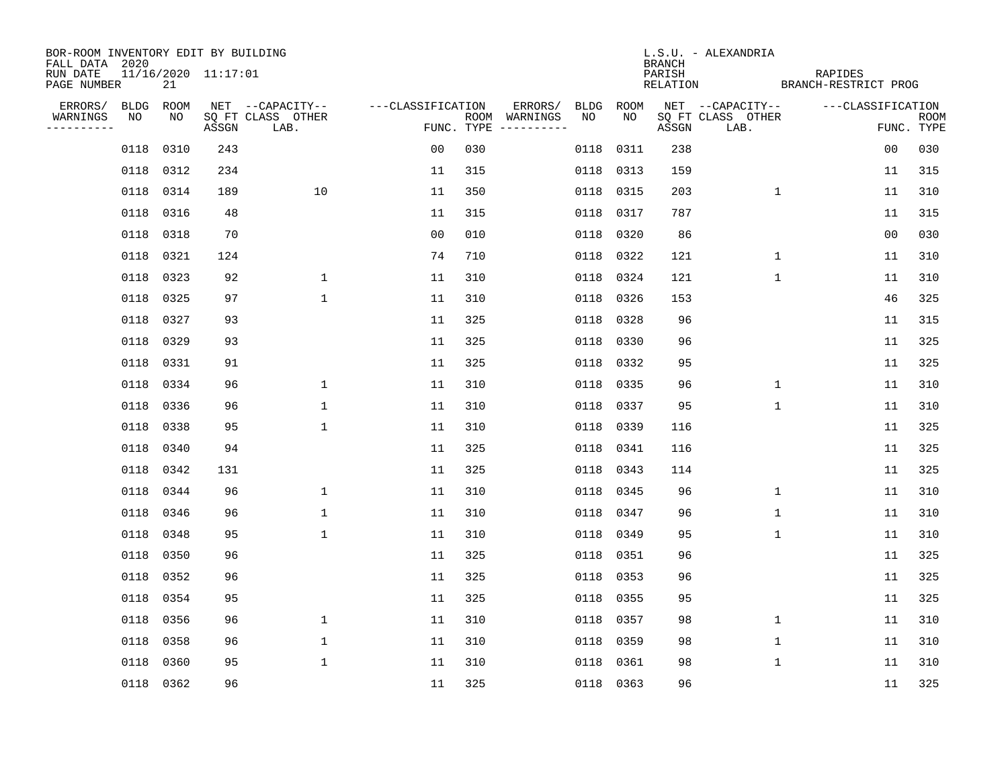| BOR-ROOM INVENTORY EDIT BY BUILDING       |             |           |                     |                           |                   |     |                                      |      |           | BRANCH             | L.S.U. - ALEXANDRIA       |                                 |                |                           |
|-------------------------------------------|-------------|-----------|---------------------|---------------------------|-------------------|-----|--------------------------------------|------|-----------|--------------------|---------------------------|---------------------------------|----------------|---------------------------|
| FALL DATA 2020<br>RUN DATE<br>PAGE NUMBER |             | 21        | 11/16/2020 11:17:01 |                           |                   |     |                                      |      |           | PARISH<br>RELATION |                           | RAPIDES<br>BRANCH-RESTRICT PROG |                |                           |
| ERRORS/                                   | <b>BLDG</b> | ROOM      |                     | NET --CAPACITY--          | ---CLASSIFICATION |     | ERRORS/                              | BLDG | ROOM      |                    | NET --CAPACITY--          | ---CLASSIFICATION               |                |                           |
| WARNINGS<br>----------                    | NO          | NO        | ASSGN               | SQ FT CLASS OTHER<br>LAB. |                   |     | ROOM WARNINGS<br>FUNC. TYPE $------$ | NO.  | NO        | ASSGN              | SQ FT CLASS OTHER<br>LAB. |                                 |                | <b>ROOM</b><br>FUNC. TYPE |
|                                           | 0118        | 0310      | 243                 |                           | 00                | 030 |                                      | 0118 | 0311      | 238                |                           |                                 | 0 <sub>0</sub> | 030                       |
|                                           |             | 0118 0312 | 234                 |                           | 11                | 315 |                                      | 0118 | 0313      | 159                |                           |                                 | 11             | 315                       |
|                                           | 0118        | 0314      | 189                 | 10                        | 11                | 350 |                                      | 0118 | 0315      | 203                |                           | $\mathbf{1}$                    | 11             | 310                       |
|                                           |             | 0118 0316 | 48                  |                           | 11                | 315 |                                      | 0118 | 0317      | 787                |                           |                                 | 11             | 315                       |
|                                           |             | 0118 0318 | 70                  |                           | 0 <sub>0</sub>    | 010 |                                      | 0118 | 0320      | 86                 |                           |                                 | 0 <sub>0</sub> | 030                       |
|                                           |             | 0118 0321 | 124                 |                           | 74                | 710 |                                      |      | 0118 0322 | 121                |                           | 1                               | 11             | 310                       |
|                                           |             | 0118 0323 | 92                  | $\mathbf 1$               | 11                | 310 |                                      | 0118 | 0324      | 121                |                           | $\mathbf{1}$                    | 11             | 310                       |
|                                           |             | 0118 0325 | 97                  | $\mathbf{1}$              | 11                | 310 |                                      | 0118 | 0326      | 153                |                           |                                 | 46             | 325                       |
|                                           |             | 0118 0327 | 93                  |                           | 11                | 325 |                                      | 0118 | 0328      | 96                 |                           |                                 | 11             | 315                       |
|                                           |             | 0118 0329 | 93                  |                           | 11                | 325 |                                      |      | 0118 0330 | 96                 |                           |                                 | 11             | 325                       |
|                                           |             | 0118 0331 | 91                  |                           | 11                | 325 |                                      | 0118 | 0332      | 95                 |                           |                                 | 11             | 325                       |
|                                           |             | 0118 0334 | 96                  | $\mathbf 1$               | 11                | 310 |                                      | 0118 | 0335      | 96                 |                           | $\mathbf 1$                     | 11             | 310                       |
|                                           |             | 0118 0336 | 96                  | $\mathbf{1}$              | 11                | 310 |                                      | 0118 | 0337      | 95                 |                           | $\mathbf 1$                     | 11             | 310                       |
|                                           |             | 0118 0338 | 95                  | $\mathbf{1}$              | 11                | 310 |                                      | 0118 | 0339      | 116                |                           |                                 | 11             | 325                       |
|                                           |             | 0118 0340 | 94                  |                           | 11                | 325 |                                      | 0118 | 0341      | 116                |                           |                                 | 11             | 325                       |
|                                           |             | 0118 0342 | 131                 |                           | 11                | 325 |                                      | 0118 | 0343      | 114                |                           |                                 | 11             | 325                       |
|                                           | 0118        | 0344      | 96                  | $\mathbf 1$               | 11                | 310 |                                      | 0118 | 0345      | 96                 |                           | 1                               | 11             | 310                       |
|                                           |             | 0118 0346 | 96                  | $\mathbf 1$               | 11                | 310 |                                      | 0118 | 0347      | 96                 |                           | 1                               | 11             | 310                       |
|                                           |             | 0118 0348 | 95                  | $\mathbf{1}$              | 11                | 310 |                                      | 0118 | 0349      | 95                 | 1                         |                                 | 11             | 310                       |
|                                           | 0118        | 0350      | 96                  |                           | 11                | 325 |                                      | 0118 | 0351      | 96                 |                           |                                 | 11             | 325                       |
|                                           |             | 0118 0352 | 96                  |                           | 11                | 325 |                                      | 0118 | 0353      | 96                 |                           |                                 | 11             | 325                       |
|                                           | 0118        | 0354      | 95                  |                           | 11                | 325 |                                      | 0118 | 0355      | 95                 |                           |                                 | 11             | 325                       |
|                                           |             | 0118 0356 | 96                  | $\mathbf 1$               | 11                | 310 |                                      | 0118 | 0357      | 98                 |                           | 1                               | 11             | 310                       |
|                                           | 0118        | 0358      | 96                  | $\mathbf 1$               | 11                | 310 |                                      | 0118 | 0359      | 98                 |                           | $\mathbf 1$                     | 11             | 310                       |
|                                           | 0118        | 0360      | 95                  | $\mathbf{1}$              | 11                | 310 |                                      | 0118 | 0361      | 98                 |                           | 1                               | 11             | 310                       |
|                                           |             | 0118 0362 | 96                  |                           | 11                | 325 |                                      |      | 0118 0363 | 96                 |                           |                                 | 11             | 325                       |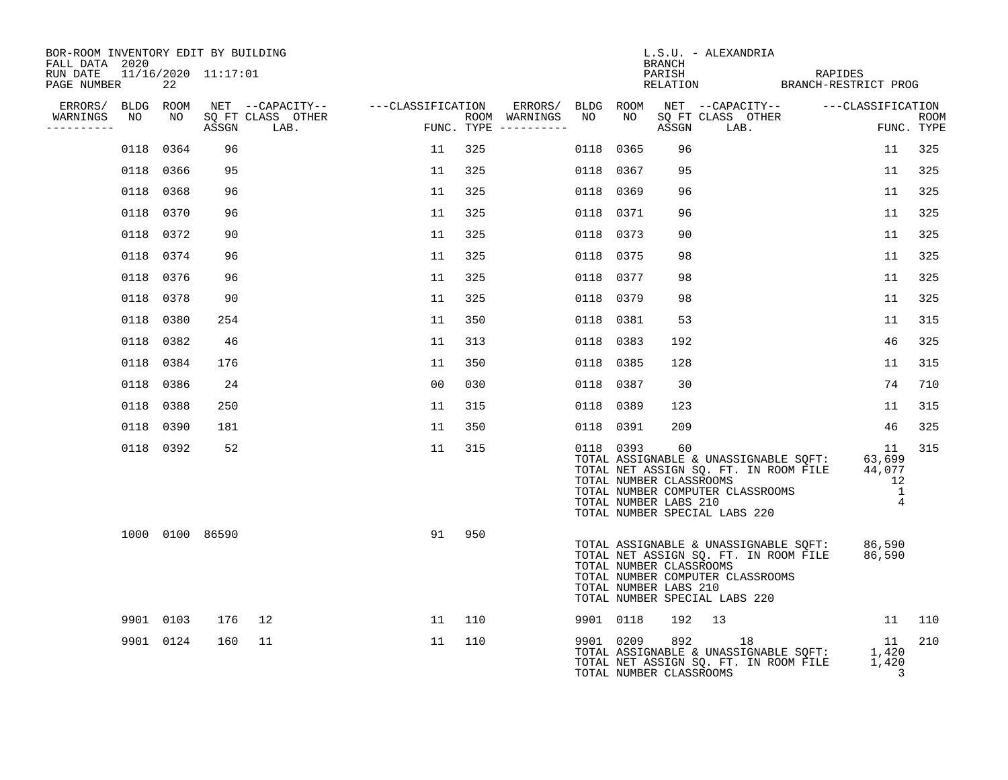| BOR-ROOM INVENTORY EDIT BY BUILDING<br>FALL DATA 2020 |           |                     |                                                                                                               |    |                                      |           |                                                               | BRANCH | L.S.U. - ALEXANDRIA                                                                                                                                                                                   |                                                        |                    |
|-------------------------------------------------------|-----------|---------------------|---------------------------------------------------------------------------------------------------------------|----|--------------------------------------|-----------|---------------------------------------------------------------|--------|-------------------------------------------------------------------------------------------------------------------------------------------------------------------------------------------------------|--------------------------------------------------------|--------------------|
| RUN DATE<br>PAGE NUMBER                               | 22        | 11/16/2020 11:17:01 |                                                                                                               |    |                                      |           |                                                               |        | PARISH REPRISH RELATION BRANCH-RESTRICT PROG                                                                                                                                                          |                                                        |                    |
|                                                       |           |                     |                                                                                                               |    |                                      |           |                                                               |        | ERRORS/ BLDG ROOM NET --CAPACITY-- ---CLASSIFICATION                                                                                                                                                  |                                                        |                    |
| WARNINGS<br>----------                                |           |                     | ERRORS/ BLDG ROOM NET --CAPACITY-- -----CLASSIFICATION<br>WARNINGS NO NO SQFTCLASS OTHER ROOM ROOM PUNC. TYPE |    | ROOM WARNINGS<br>FUNC. TYPE $------$ | NO        | NO                                                            |        |                                                                                                                                                                                                       |                                                        | ROOM<br>FUNC. TYPE |
|                                                       | 0118 0364 | 96                  |                                                                                                               | 11 | 325                                  | 0118 0365 |                                                               | 96     |                                                                                                                                                                                                       | 11                                                     | 325                |
|                                                       | 0118 0366 | 95                  |                                                                                                               | 11 | 325                                  | 0118 0367 |                                                               | 95     |                                                                                                                                                                                                       | 11                                                     | 325                |
|                                                       | 0118 0368 | 96                  |                                                                                                               | 11 | 325                                  | 0118 0369 |                                                               | 96     |                                                                                                                                                                                                       | 11                                                     | 325                |
| 0118                                                  | 0370      | 96                  |                                                                                                               | 11 | 325                                  | 0118 0371 |                                                               | 96     |                                                                                                                                                                                                       | 11                                                     | 325                |
|                                                       | 0118 0372 | 90                  |                                                                                                               | 11 | 325                                  | 0118 0373 |                                                               | 90     |                                                                                                                                                                                                       | 11                                                     | 325                |
|                                                       | 0118 0374 | 96                  |                                                                                                               | 11 | 325                                  | 0118 0375 |                                                               | 98     |                                                                                                                                                                                                       | 11                                                     | 325                |
|                                                       | 0118 0376 | 96                  |                                                                                                               | 11 | 325                                  | 0118 0377 |                                                               | 98     |                                                                                                                                                                                                       | 11                                                     | 325                |
| 0118                                                  | 0378      | 90                  |                                                                                                               | 11 | 325                                  | 0118 0379 |                                                               | 98     |                                                                                                                                                                                                       | 11                                                     | 325                |
|                                                       | 0118 0380 | 254                 |                                                                                                               | 11 | 350                                  | 0118 0381 |                                                               | 53     |                                                                                                                                                                                                       | 11                                                     | 315                |
| 0118                                                  | 0382      | 46                  |                                                                                                               | 11 | 313                                  | 0118 0383 |                                                               | 192    |                                                                                                                                                                                                       | 46                                                     | 325                |
| 0118                                                  | 0384      | 176                 |                                                                                                               | 11 | 350                                  | 0118 0385 |                                                               | 128    |                                                                                                                                                                                                       | 11                                                     | 315                |
|                                                       | 0118 0386 | 24                  |                                                                                                               | 00 | 030                                  | 0118 0387 |                                                               | 30     |                                                                                                                                                                                                       | 74                                                     | 710                |
|                                                       | 0118 0388 | 250                 |                                                                                                               | 11 | 315                                  | 0118 0389 |                                                               | 123    |                                                                                                                                                                                                       | 11                                                     | 315                |
|                                                       | 0118 0390 | 181                 |                                                                                                               | 11 | 350                                  | 0118 0391 |                                                               | 209    |                                                                                                                                                                                                       | 46                                                     | 325                |
|                                                       | 0118 0392 | 52                  |                                                                                                               | 11 | 315                                  |           | 0118 0393<br>TOTAL NUMBER CLASSROOMS<br>TOTAL NUMBER LABS 210 | 60     | TOTAL ASSIGNABLE & UNASSIGNABLE SQFT: 63,699<br>TOTAL NET ASSIGN SQ. FT. IN ROOM FILE 44,077<br>TOTAL NUMBER COMPUTER CLASSROOMS<br>TOTAL NUMBER COMPUTER CLASSROOMS<br>TOTAL NUMBER SPECIAL LABS 220 | 11<br>12<br>$\overline{\phantom{0}}$<br>$\overline{4}$ | 315                |
|                                                       |           | 1000 0100 86590     |                                                                                                               | 91 | 950                                  |           | TOTAL NUMBER CLASSROOMS<br>TOTAL NUMBER LABS 210              |        | TOTAL ASSIGNABLE & UNASSIGNABLE SQFT: 86,590<br>TOTAL NET ASSIGN SQ. FT. IN ROOM FILE 86,590<br>TOTAL NUMBER COMPUTER CLASSROOMS<br>TOTAL NUMBER SPECIAL LABS 220                                     |                                                        |                    |
|                                                       | 9901 0103 | 176                 | 12                                                                                                            | 11 | 110                                  |           | 9901 0118                                                     |        | 192 13                                                                                                                                                                                                |                                                        | 11 110             |
|                                                       | 9901 0124 | 160                 | 11                                                                                                            | 11 | 110                                  |           | TOTAL NUMBER CLASSROOMS                                       |        | $\begin{tabular}{lllllllllll} 9901 & 0209 & 892 & 18 & 11 \\ \text{TOTAL ASSIGNABLE & UNASSIGNABLE & SQFT: & 1,420 \\ \text{TOTAL NET ASSIGN SG. FT. IN Room FILE} & 1,420 \end{tabular}$             | 3                                                      | 210                |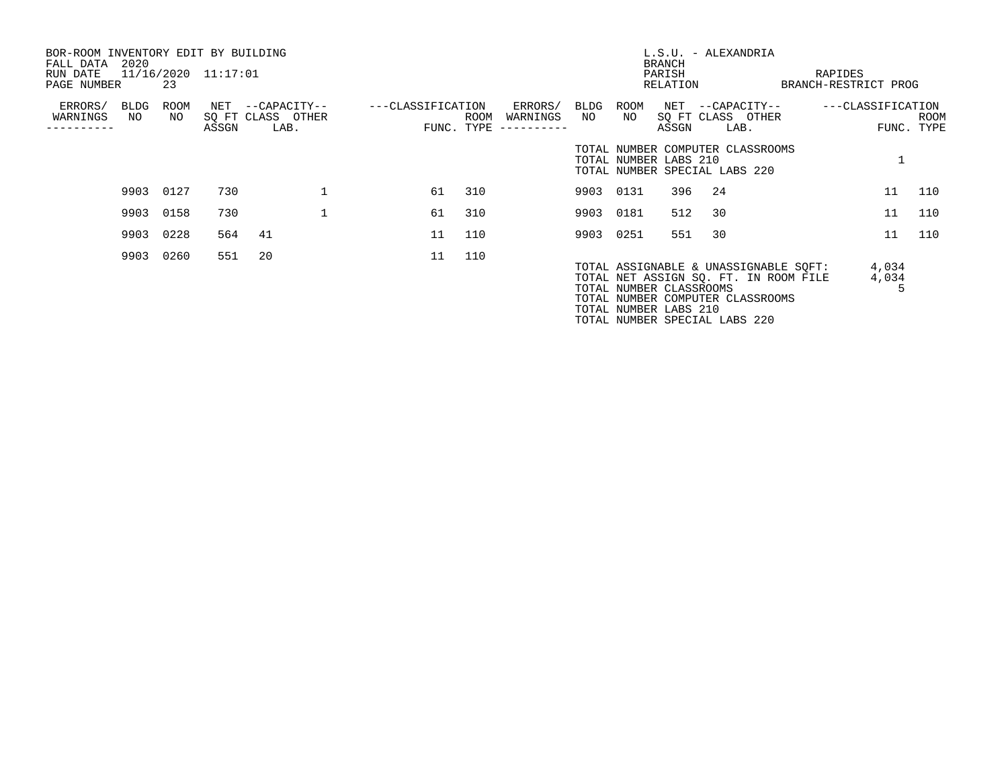| BOR-ROOM INVENTORY EDIT BY BUILDING<br>FALL DATA | 2020       |            |                     |                                       |                   |     |                          |            |                                                                                                                                                                                                         | <b>BRANCH</b> | L.S.U. - ALEXANDRIA |      |                                    |                |            |
|--------------------------------------------------|------------|------------|---------------------|---------------------------------------|-------------------|-----|--------------------------|------------|---------------------------------------------------------------------------------------------------------------------------------------------------------------------------------------------------------|---------------|---------------------|------|------------------------------------|----------------|------------|
| RUN DATE                                         |            |            | 11/16/2020 11:17:01 |                                       |                   |     |                          |            |                                                                                                                                                                                                         | PARISH        |                     |      | RAPIDES                            |                |            |
| PAGE NUMBER                                      |            | 23         |                     |                                       |                   |     |                          |            |                                                                                                                                                                                                         | RELATION      |                     |      | BRANCH-RESTRICT PROG               |                |            |
| ERRORS/<br>WARNINGS                              | BLDG<br>NO | ROOM<br>NO |                     | NET --CAPACITY--<br>SQ FT CLASS OTHER | ---CLASSIFICATION |     | ERRORS/<br>ROOM WARNINGS | BLDG<br>NO | ROOM<br>NO 11                                                                                                                                                                                           |               | SQ FT CLASS OTHER   |      | NET --CAPACITY-- ---CLASSIFICATION |                | ROOM       |
|                                                  |            |            | ASSGN               | LAB.                                  |                   |     | FUNC. TYPE $------$      |            |                                                                                                                                                                                                         | ASSGN         |                     | LAB. |                                    |                | FUNC. TYPE |
|                                                  |            |            |                     |                                       |                   |     |                          |            | TOTAL NUMBER COMPUTER CLASSROOMS<br>TOTAL NUMBER LABS 210<br>TOTAL NUMBER SPECIAL LABS 220                                                                                                              |               |                     |      |                                    |                |            |
|                                                  |            | 9903 0127  | 730                 |                                       | 61                | 310 |                          |            | 9903 0131                                                                                                                                                                                               | 396           | 24                  |      |                                    | 11             | 110        |
|                                                  |            | 9903 0158  | 730                 |                                       | 61                | 310 |                          | 9903 0181  |                                                                                                                                                                                                         | 512           | 30                  |      |                                    | 11             | 110        |
|                                                  |            | 9903 0228  | 564                 | 41                                    | 11                | 110 |                          | 9903 0251  |                                                                                                                                                                                                         | 551           | 30                  |      |                                    | 11             | 110        |
|                                                  | 9903       | 0260       | 551                 | 20                                    | 11                | 110 |                          |            | TOTAL ASSIGNABLE & UNASSIGNABLE SQFT:<br>TOTAL NET ASSIGN SO. FT. IN ROOM FILE<br>TOTAL NUMBER CLASSROOMS<br>TOTAL NUMBER COMPUTER CLASSROOMS<br>TOTAL NUMBER LABS 210<br>TOTAL NUMBER SPECIAL LABS 220 |               |                     |      |                                    | 4,034<br>4,034 |            |